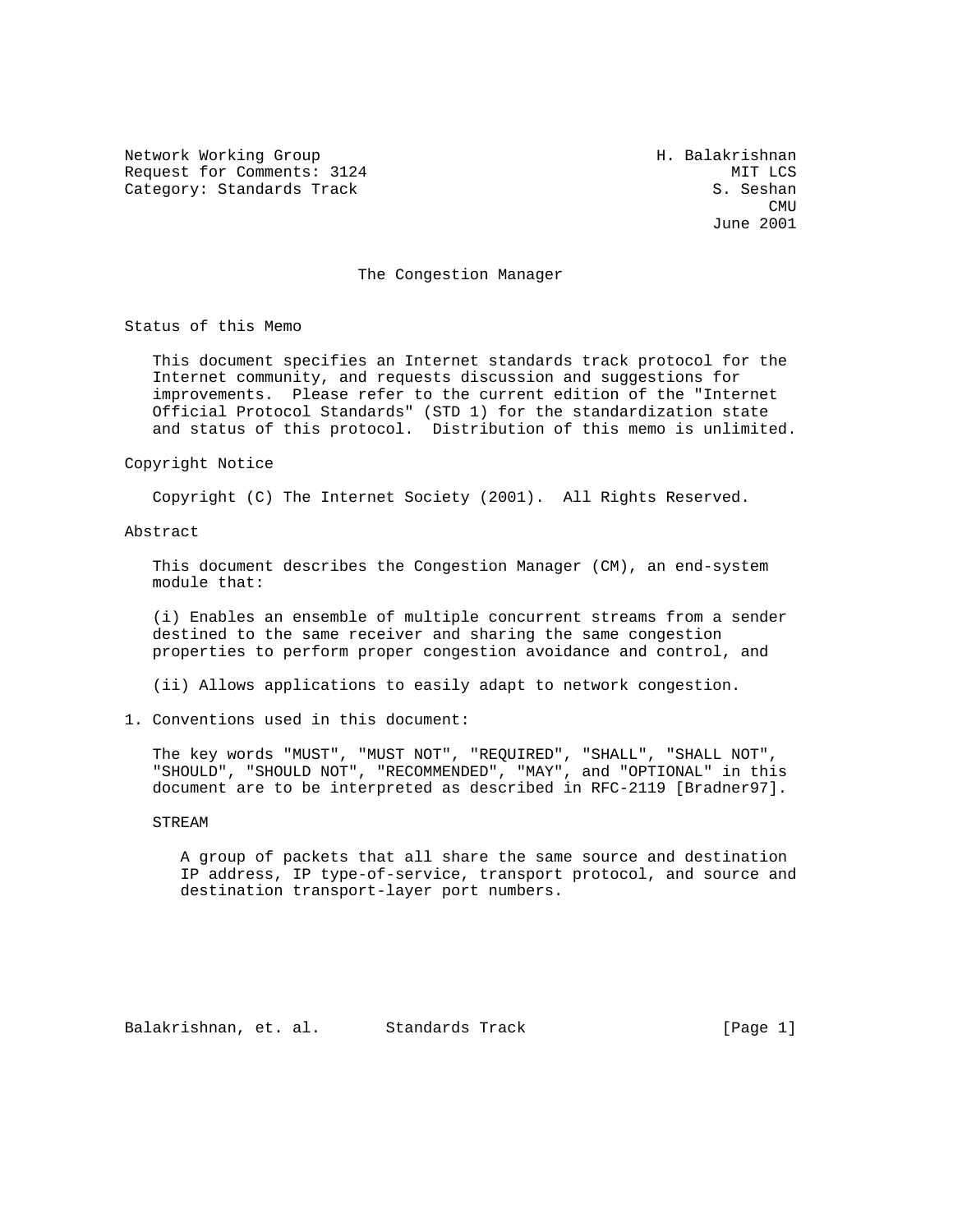Network Working Group Network Working Group Request for Comments: 3124 MIT LCS Category: Standards Track S. Seshan

**CMU CMU** June 2001

## The Congestion Manager

Status of this Memo

 This document specifies an Internet standards track protocol for the Internet community, and requests discussion and suggestions for improvements. Please refer to the current edition of the "Internet Official Protocol Standards" (STD 1) for the standardization state and status of this protocol. Distribution of this memo is unlimited.

Copyright Notice

Copyright (C) The Internet Society (2001). All Rights Reserved.

Abstract

 This document describes the Congestion Manager (CM), an end-system module that:

 (i) Enables an ensemble of multiple concurrent streams from a sender destined to the same receiver and sharing the same congestion properties to perform proper congestion avoidance and control, and

(ii) Allows applications to easily adapt to network congestion.

1. Conventions used in this document:

 The key words "MUST", "MUST NOT", "REQUIRED", "SHALL", "SHALL NOT", "SHOULD", "SHOULD NOT", "RECOMMENDED", "MAY", and "OPTIONAL" in this document are to be interpreted as described in RFC-2119 [Bradner97].

STREAM

 A group of packets that all share the same source and destination IP address, IP type-of-service, transport protocol, and source and destination transport-layer port numbers.

Balakrishnan, et. al. Standards Track [Page 1]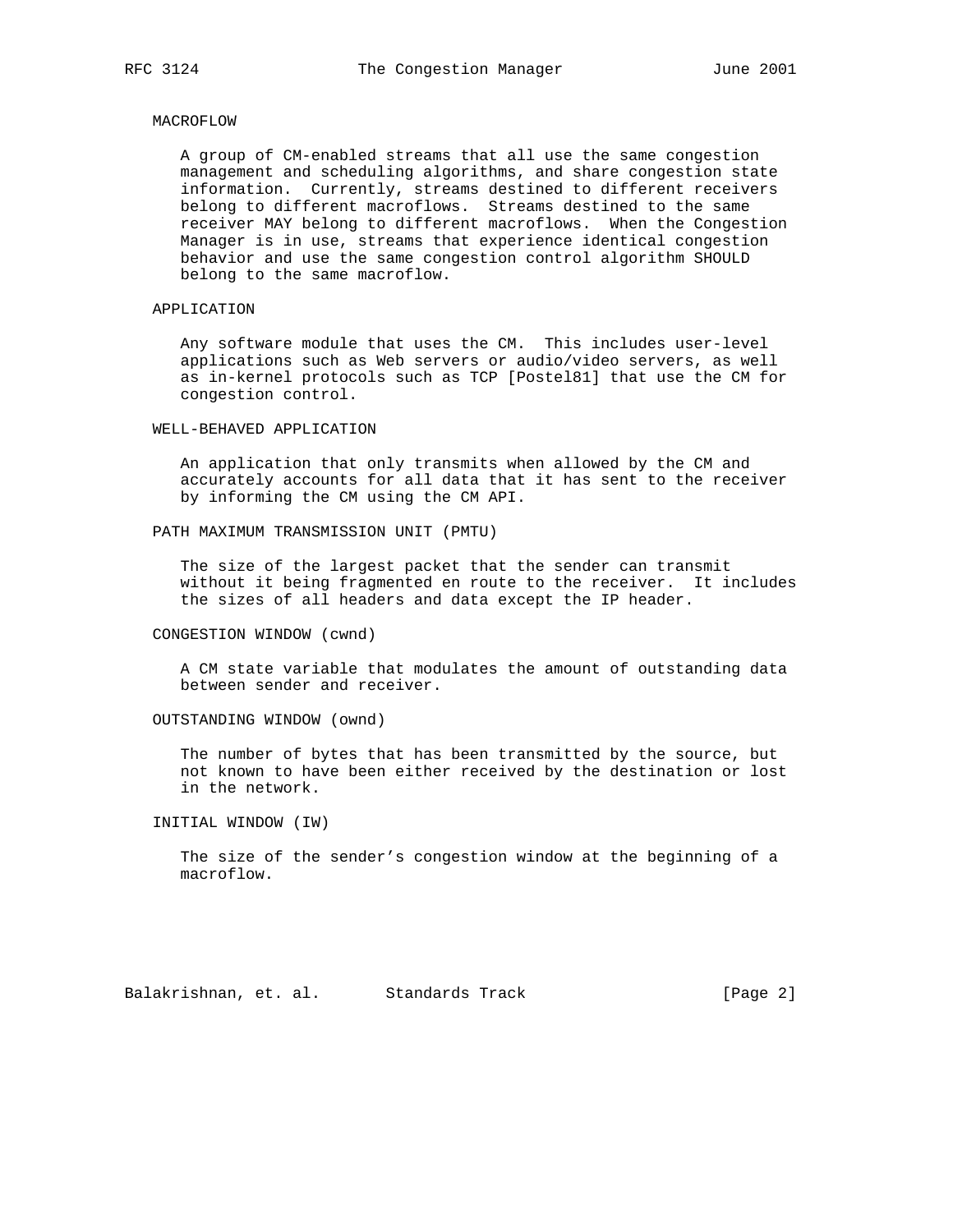### MACROFLOW

 A group of CM-enabled streams that all use the same congestion management and scheduling algorithms, and share congestion state information. Currently, streams destined to different receivers belong to different macroflows. Streams destined to the same receiver MAY belong to different macroflows. When the Congestion Manager is in use, streams that experience identical congestion behavior and use the same congestion control algorithm SHOULD belong to the same macroflow.

## APPLICATION

 Any software module that uses the CM. This includes user-level applications such as Web servers or audio/video servers, as well as in-kernel protocols such as TCP [Postel81] that use the CM for congestion control.

## WELL-BEHAVED APPLICATION

 An application that only transmits when allowed by the CM and accurately accounts for all data that it has sent to the receiver by informing the CM using the CM API.

## PATH MAXIMUM TRANSMISSION UNIT (PMTU)

 The size of the largest packet that the sender can transmit without it being fragmented en route to the receiver. It includes the sizes of all headers and data except the IP header.

#### CONGESTION WINDOW (cwnd)

 A CM state variable that modulates the amount of outstanding data between sender and receiver.

#### OUTSTANDING WINDOW (ownd)

 The number of bytes that has been transmitted by the source, but not known to have been either received by the destination or lost in the network.

INITIAL WINDOW (IW)

 The size of the sender's congestion window at the beginning of a macroflow.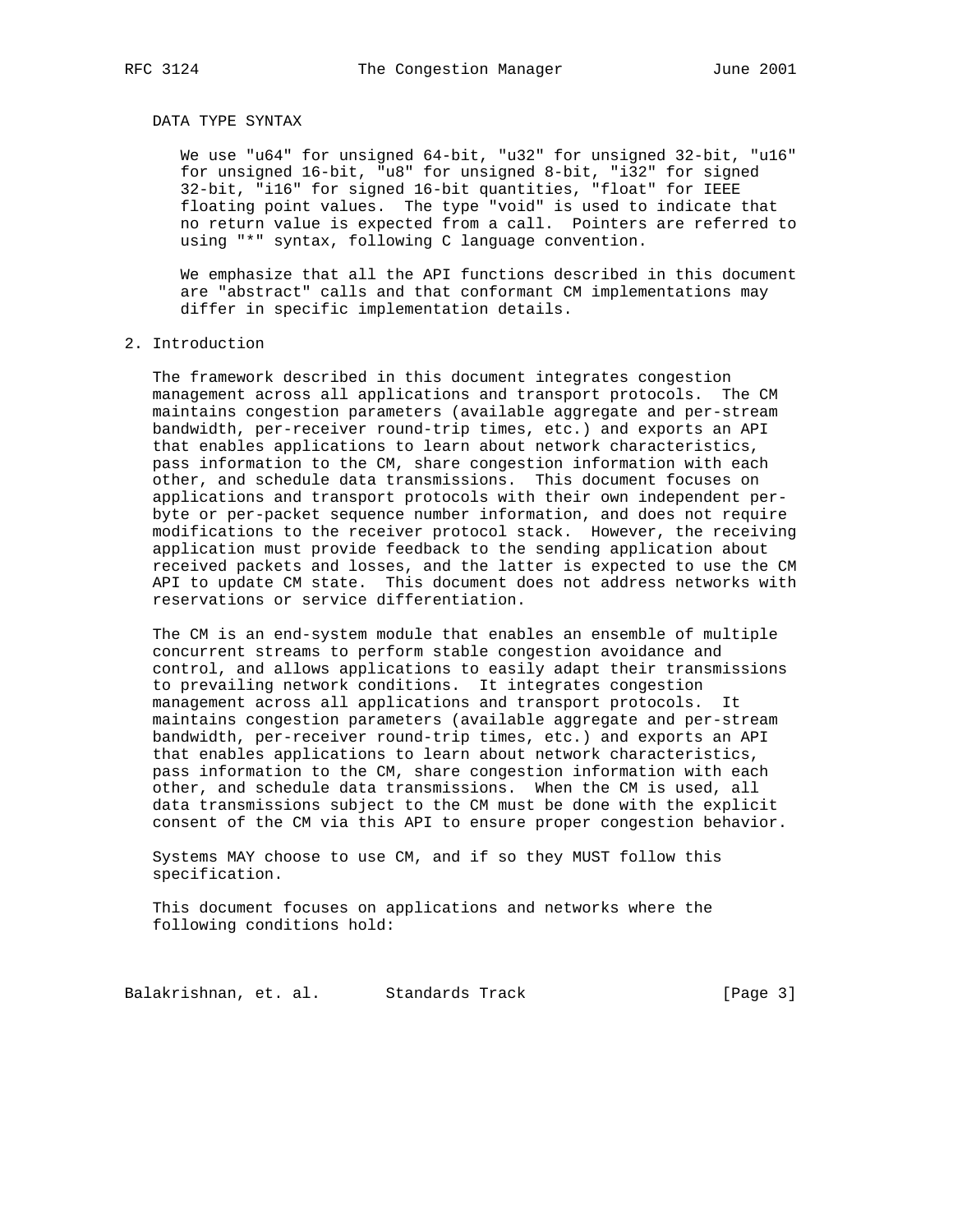# DATA TYPE SYNTAX

 We use "u64" for unsigned 64-bit, "u32" for unsigned 32-bit, "u16" for unsigned 16-bit, "u8" for unsigned 8-bit, "i32" for signed 32-bit, "i16" for signed 16-bit quantities, "float" for IEEE floating point values. The type "void" is used to indicate that no return value is expected from a call. Pointers are referred to using "\*" syntax, following C language convention.

 We emphasize that all the API functions described in this document are "abstract" calls and that conformant CM implementations may differ in specific implementation details.

#### 2. Introduction

 The framework described in this document integrates congestion management across all applications and transport protocols. The CM maintains congestion parameters (available aggregate and per-stream bandwidth, per-receiver round-trip times, etc.) and exports an API that enables applications to learn about network characteristics, pass information to the CM, share congestion information with each other, and schedule data transmissions. This document focuses on applications and transport protocols with their own independent per byte or per-packet sequence number information, and does not require modifications to the receiver protocol stack. However, the receiving application must provide feedback to the sending application about received packets and losses, and the latter is expected to use the CM API to update CM state. This document does not address networks with reservations or service differentiation.

 The CM is an end-system module that enables an ensemble of multiple concurrent streams to perform stable congestion avoidance and control, and allows applications to easily adapt their transmissions to prevailing network conditions. It integrates congestion management across all applications and transport protocols. It maintains congestion parameters (available aggregate and per-stream bandwidth, per-receiver round-trip times, etc.) and exports an API that enables applications to learn about network characteristics, pass information to the CM, share congestion information with each other, and schedule data transmissions. When the CM is used, all data transmissions subject to the CM must be done with the explicit consent of the CM via this API to ensure proper congestion behavior.

 Systems MAY choose to use CM, and if so they MUST follow this specification.

 This document focuses on applications and networks where the following conditions hold:

Balakrishnan, et. al. Standards Track [Page 3]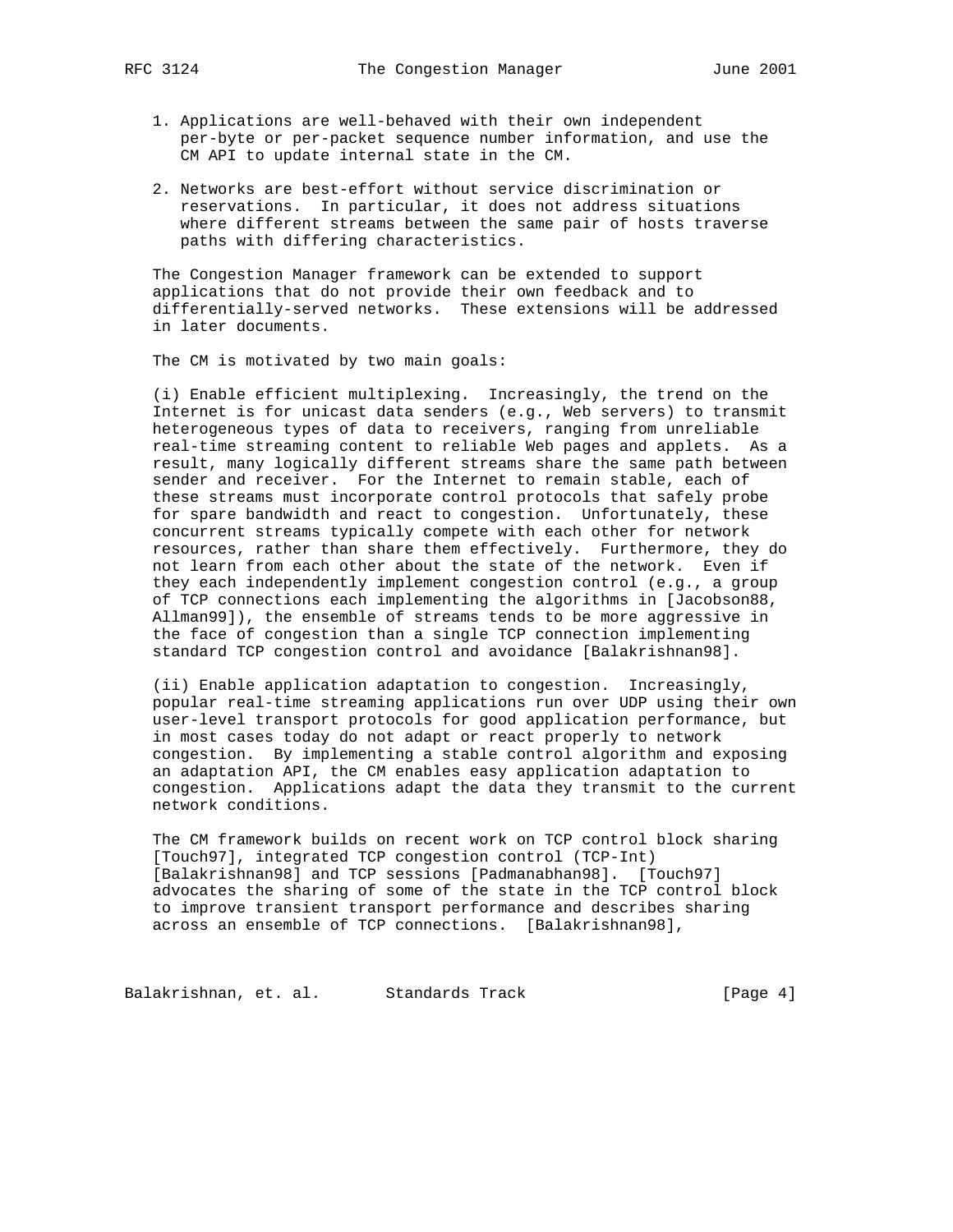- - 1. Applications are well-behaved with their own independent per-byte or per-packet sequence number information, and use the CM API to update internal state in the CM.
	- 2. Networks are best-effort without service discrimination or reservations. In particular, it does not address situations where different streams between the same pair of hosts traverse paths with differing characteristics.

 The Congestion Manager framework can be extended to support applications that do not provide their own feedback and to differentially-served networks. These extensions will be addressed in later documents.

The CM is motivated by two main goals:

 (i) Enable efficient multiplexing. Increasingly, the trend on the Internet is for unicast data senders (e.g., Web servers) to transmit heterogeneous types of data to receivers, ranging from unreliable real-time streaming content to reliable Web pages and applets. As a result, many logically different streams share the same path between sender and receiver. For the Internet to remain stable, each of these streams must incorporate control protocols that safely probe for spare bandwidth and react to congestion. Unfortunately, these concurrent streams typically compete with each other for network resources, rather than share them effectively. Furthermore, they do not learn from each other about the state of the network. Even if they each independently implement congestion control (e.g., a group of TCP connections each implementing the algorithms in [Jacobson88, Allman99]), the ensemble of streams tends to be more aggressive in the face of congestion than a single TCP connection implementing standard TCP congestion control and avoidance [Balakrishnan98].

 (ii) Enable application adaptation to congestion. Increasingly, popular real-time streaming applications run over UDP using their own user-level transport protocols for good application performance, but in most cases today do not adapt or react properly to network congestion. By implementing a stable control algorithm and exposing an adaptation API, the CM enables easy application adaptation to congestion. Applications adapt the data they transmit to the current network conditions.

 The CM framework builds on recent work on TCP control block sharing [Touch97], integrated TCP congestion control (TCP-Int) [Balakrishnan98] and TCP sessions [Padmanabhan98]. [Touch97] advocates the sharing of some of the state in the TCP control block to improve transient transport performance and describes sharing across an ensemble of TCP connections. [Balakrishnan98],

Balakrishnan, et. al. Standards Track (Page 4)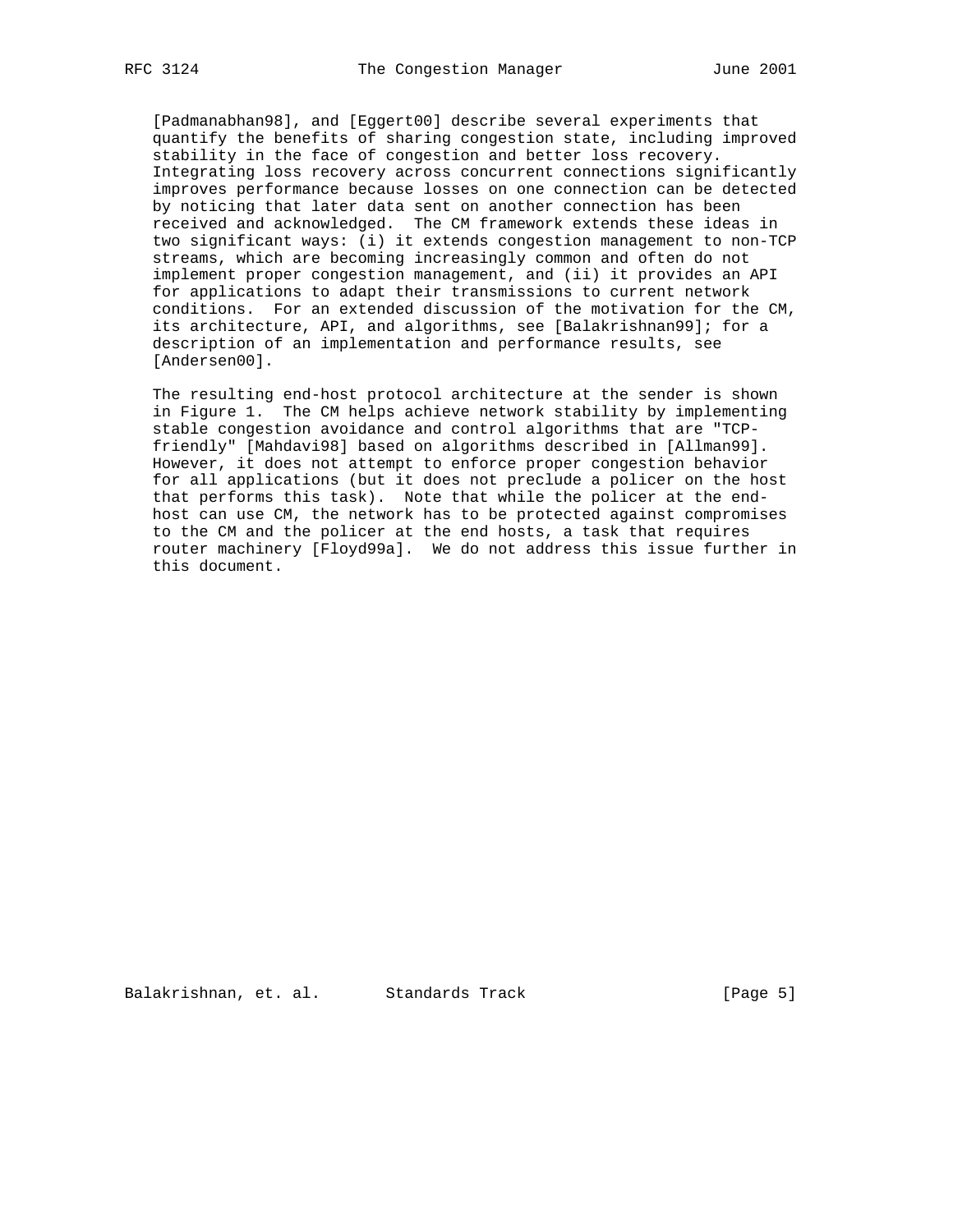[Padmanabhan98], and [Eggert00] describe several experiments that quantify the benefits of sharing congestion state, including improved stability in the face of congestion and better loss recovery. Integrating loss recovery across concurrent connections significantly improves performance because losses on one connection can be detected by noticing that later data sent on another connection has been received and acknowledged. The CM framework extends these ideas in two significant ways: (i) it extends congestion management to non-TCP streams, which are becoming increasingly common and often do not implement proper congestion management, and (ii) it provides an API for applications to adapt their transmissions to current network conditions. For an extended discussion of the motivation for the CM, its architecture, API, and algorithms, see [Balakrishnan99]; for a description of an implementation and performance results, see [Andersen00].

 The resulting end-host protocol architecture at the sender is shown in Figure 1. The CM helps achieve network stability by implementing stable congestion avoidance and control algorithms that are "TCP friendly" [Mahdavi98] based on algorithms described in [Allman99]. However, it does not attempt to enforce proper congestion behavior for all applications (but it does not preclude a policer on the host that performs this task). Note that while the policer at the end host can use CM, the network has to be protected against compromises to the CM and the policer at the end hosts, a task that requires router machinery [Floyd99a]. We do not address this issue further in this document.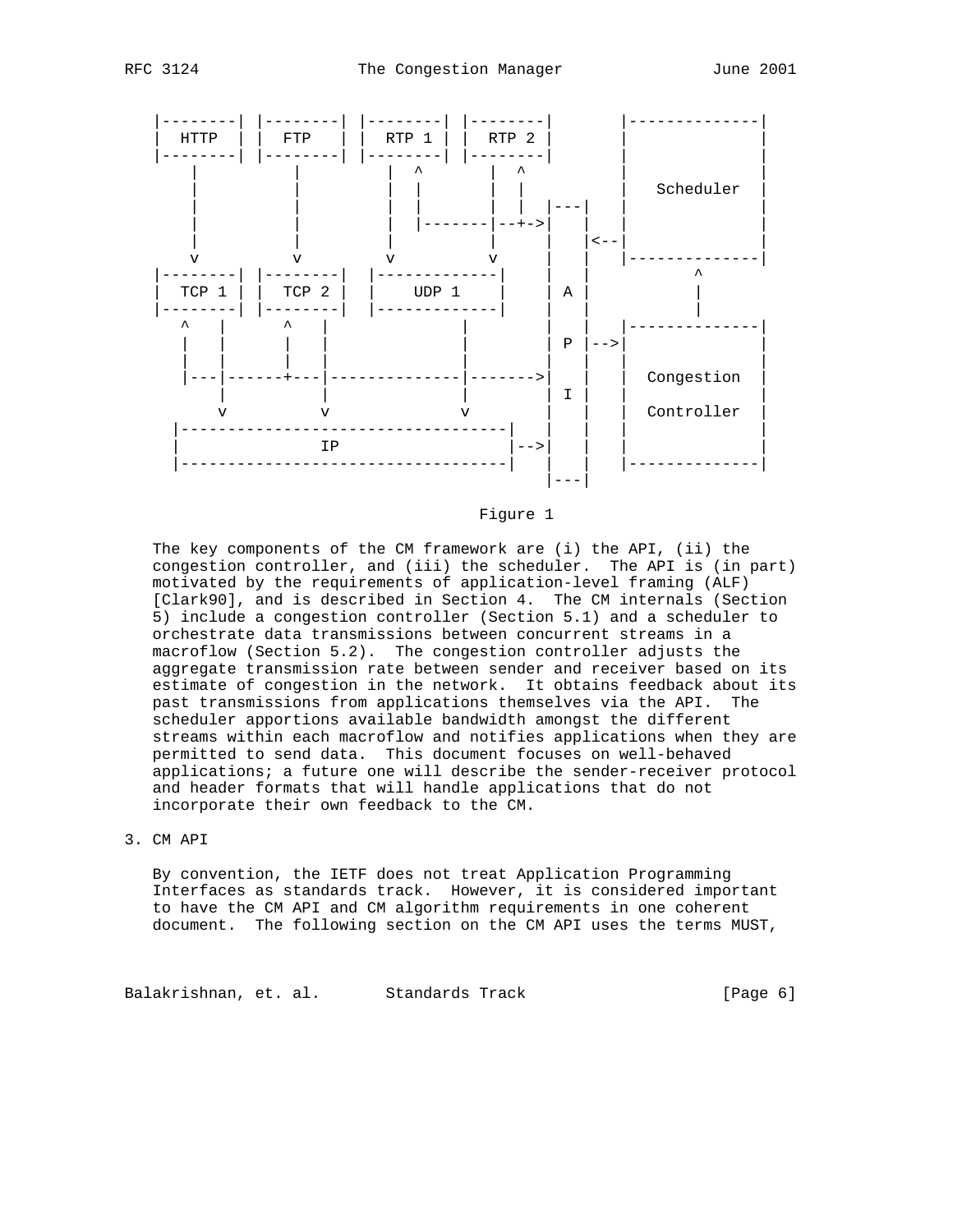



Figure 1

 The key components of the CM framework are (i) the API, (ii) the congestion controller, and (iii) the scheduler. The API is (in part) motivated by the requirements of application-level framing (ALF) [Clark90], and is described in Section 4. The CM internals (Section 5) include a congestion controller (Section 5.1) and a scheduler to orchestrate data transmissions between concurrent streams in a macroflow (Section 5.2). The congestion controller adjusts the aggregate transmission rate between sender and receiver based on its estimate of congestion in the network. It obtains feedback about its past transmissions from applications themselves via the API. The scheduler apportions available bandwidth amongst the different streams within each macroflow and notifies applications when they are permitted to send data. This document focuses on well-behaved applications; a future one will describe the sender-receiver protocol and header formats that will handle applications that do not incorporate their own feedback to the CM.

## 3. CM API

 By convention, the IETF does not treat Application Programming Interfaces as standards track. However, it is considered important to have the CM API and CM algorithm requirements in one coherent document. The following section on the CM API uses the terms MUST,

Balakrishnan, et. al. Standards Track (Page 6)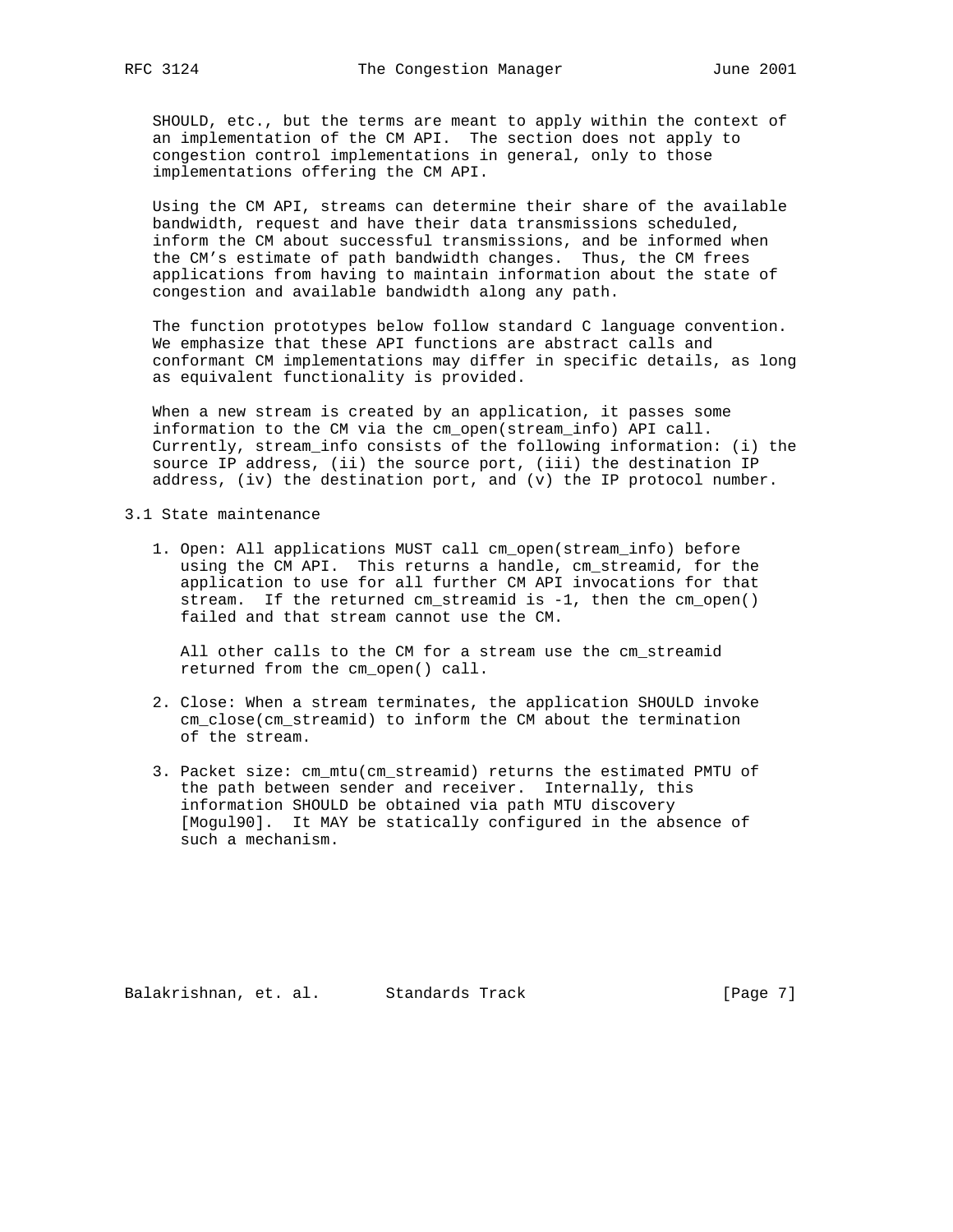SHOULD, etc., but the terms are meant to apply within the context of an implementation of the CM API. The section does not apply to congestion control implementations in general, only to those implementations offering the CM API.

 Using the CM API, streams can determine their share of the available bandwidth, request and have their data transmissions scheduled, inform the CM about successful transmissions, and be informed when the CM's estimate of path bandwidth changes. Thus, the CM frees applications from having to maintain information about the state of congestion and available bandwidth along any path.

 The function prototypes below follow standard C language convention. We emphasize that these API functions are abstract calls and conformant CM implementations may differ in specific details, as long as equivalent functionality is provided.

 When a new stream is created by an application, it passes some information to the CM via the cm\_open(stream\_info) API call. Currently, stream\_info consists of the following information: (i) the source IP address, (ii) the source port, (iii) the destination IP address, (iv) the destination port, and (v) the IP protocol number.

## 3.1 State maintenance

 1. Open: All applications MUST call cm\_open(stream\_info) before using the CM API. This returns a handle, cm\_streamid, for the application to use for all further CM API invocations for that stream. If the returned cm\_streamid is -1, then the cm\_open() failed and that stream cannot use the CM.

 All other calls to the CM for a stream use the cm\_streamid returned from the cm\_open() call.

- 2. Close: When a stream terminates, the application SHOULD invoke cm\_close(cm\_streamid) to inform the CM about the termination of the stream.
- 3. Packet size: cm\_mtu(cm\_streamid) returns the estimated PMTU of the path between sender and receiver. Internally, this information SHOULD be obtained via path MTU discovery [Mogul90]. It MAY be statically configured in the absence of such a mechanism.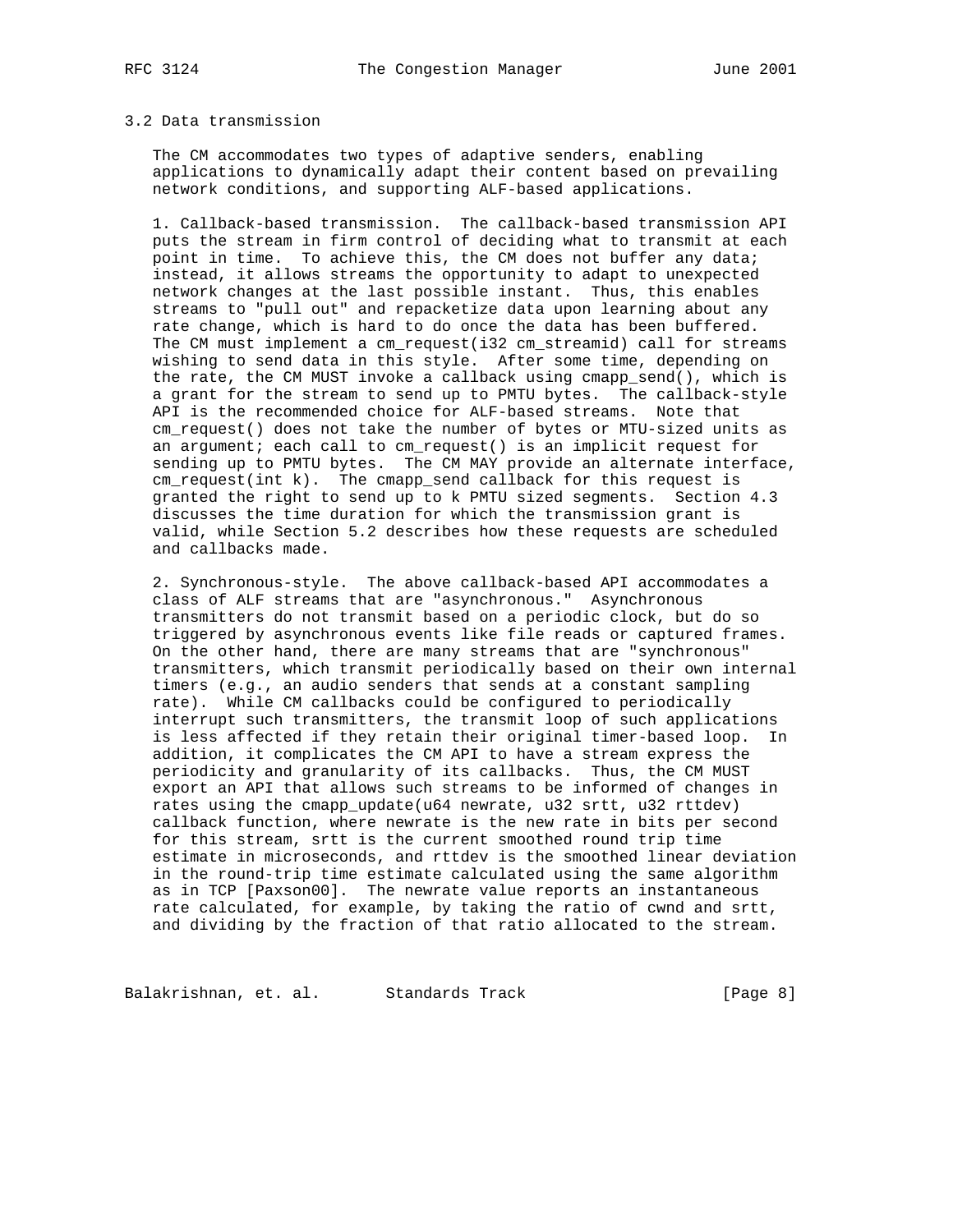#### 3.2 Data transmission

 The CM accommodates two types of adaptive senders, enabling applications to dynamically adapt their content based on prevailing network conditions, and supporting ALF-based applications.

 1. Callback-based transmission. The callback-based transmission API puts the stream in firm control of deciding what to transmit at each point in time. To achieve this, the CM does not buffer any data; instead, it allows streams the opportunity to adapt to unexpected network changes at the last possible instant. Thus, this enables streams to "pull out" and repacketize data upon learning about any rate change, which is hard to do once the data has been buffered. The CM must implement a cm\_request(i32 cm\_streamid) call for streams wishing to send data in this style. After some time, depending on the rate, the CM MUST invoke a callback using cmapp\_send(), which is a grant for the stream to send up to PMTU bytes. The callback-style API is the recommended choice for ALF-based streams. Note that cm\_request() does not take the number of bytes or MTU-sized units as an argument; each call to cm\_request() is an implicit request for sending up to PMTU bytes. The CM MAY provide an alternate interface, cm\_request(int k). The cmapp\_send callback for this request is granted the right to send up to k PMTU sized segments. Section 4.3 discusses the time duration for which the transmission grant is valid, while Section 5.2 describes how these requests are scheduled and callbacks made.

 2. Synchronous-style. The above callback-based API accommodates a class of ALF streams that are "asynchronous." Asynchronous transmitters do not transmit based on a periodic clock, but do so triggered by asynchronous events like file reads or captured frames. On the other hand, there are many streams that are "synchronous" transmitters, which transmit periodically based on their own internal timers (e.g., an audio senders that sends at a constant sampling rate). While CM callbacks could be configured to periodically interrupt such transmitters, the transmit loop of such applications is less affected if they retain their original timer-based loop. In addition, it complicates the CM API to have a stream express the periodicity and granularity of its callbacks. Thus, the CM MUST export an API that allows such streams to be informed of changes in rates using the cmapp\_update(u64 newrate, u32 srtt, u32 rttdev) callback function, where newrate is the new rate in bits per second for this stream, srtt is the current smoothed round trip time estimate in microseconds, and rttdev is the smoothed linear deviation in the round-trip time estimate calculated using the same algorithm as in TCP [Paxson00]. The newrate value reports an instantaneous rate calculated, for example, by taking the ratio of cwnd and srtt, and dividing by the fraction of that ratio allocated to the stream.

Balakrishnan, et. al. Standards Track [Page 8]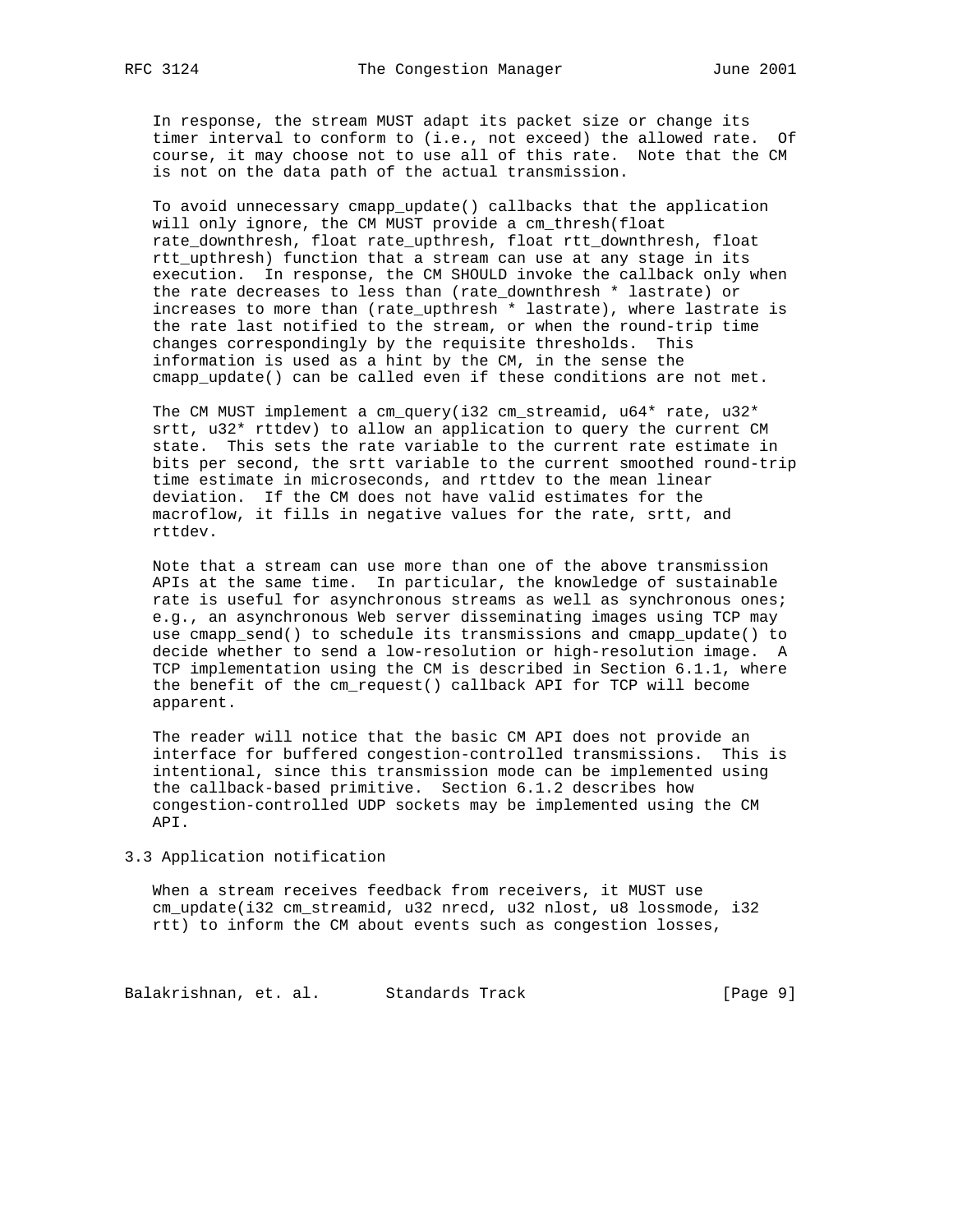In response, the stream MUST adapt its packet size or change its timer interval to conform to (i.e., not exceed) the allowed rate. Of course, it may choose not to use all of this rate. Note that the CM is not on the data path of the actual transmission.

 To avoid unnecessary cmapp\_update() callbacks that the application will only ignore, the CM MUST provide a cm\_thresh(float rate\_downthresh, float rate\_upthresh, float rtt\_downthresh, float rtt\_upthresh) function that a stream can use at any stage in its execution. In response, the CM SHOULD invoke the callback only when the rate decreases to less than (rate\_downthresh \* lastrate) or increases to more than (rate\_upthresh \* lastrate), where lastrate is the rate last notified to the stream, or when the round-trip time changes correspondingly by the requisite thresholds. This information is used as a hint by the CM, in the sense the cmapp\_update() can be called even if these conditions are not met.

The CM MUST implement a cm\_query(i32 cm\_streamid,  $u64*$  rate,  $u32*$  srtt, u32\* rttdev) to allow an application to query the current CM state. This sets the rate variable to the current rate estimate in bits per second, the srtt variable to the current smoothed round-trip time estimate in microseconds, and rttdev to the mean linear deviation. If the CM does not have valid estimates for the macroflow, it fills in negative values for the rate, srtt, and rttdev.

 Note that a stream can use more than one of the above transmission APIs at the same time. In particular, the knowledge of sustainable rate is useful for asynchronous streams as well as synchronous ones; e.g., an asynchronous Web server disseminating images using TCP may use cmapp\_send() to schedule its transmissions and cmapp\_update() to decide whether to send a low-resolution or high-resolution image. A TCP implementation using the CM is described in Section 6.1.1, where the benefit of the cm\_request() callback API for TCP will become apparent.

 The reader will notice that the basic CM API does not provide an interface for buffered congestion-controlled transmissions. This is intentional, since this transmission mode can be implemented using the callback-based primitive. Section 6.1.2 describes how congestion-controlled UDP sockets may be implemented using the CM API.

3.3 Application notification

 When a stream receives feedback from receivers, it MUST use cm\_update(i32 cm\_streamid, u32 nrecd, u32 nlost, u8 lossmode, i32 rtt) to inform the CM about events such as congestion losses,

Balakrishnan, et. al. Standards Track (Page 9)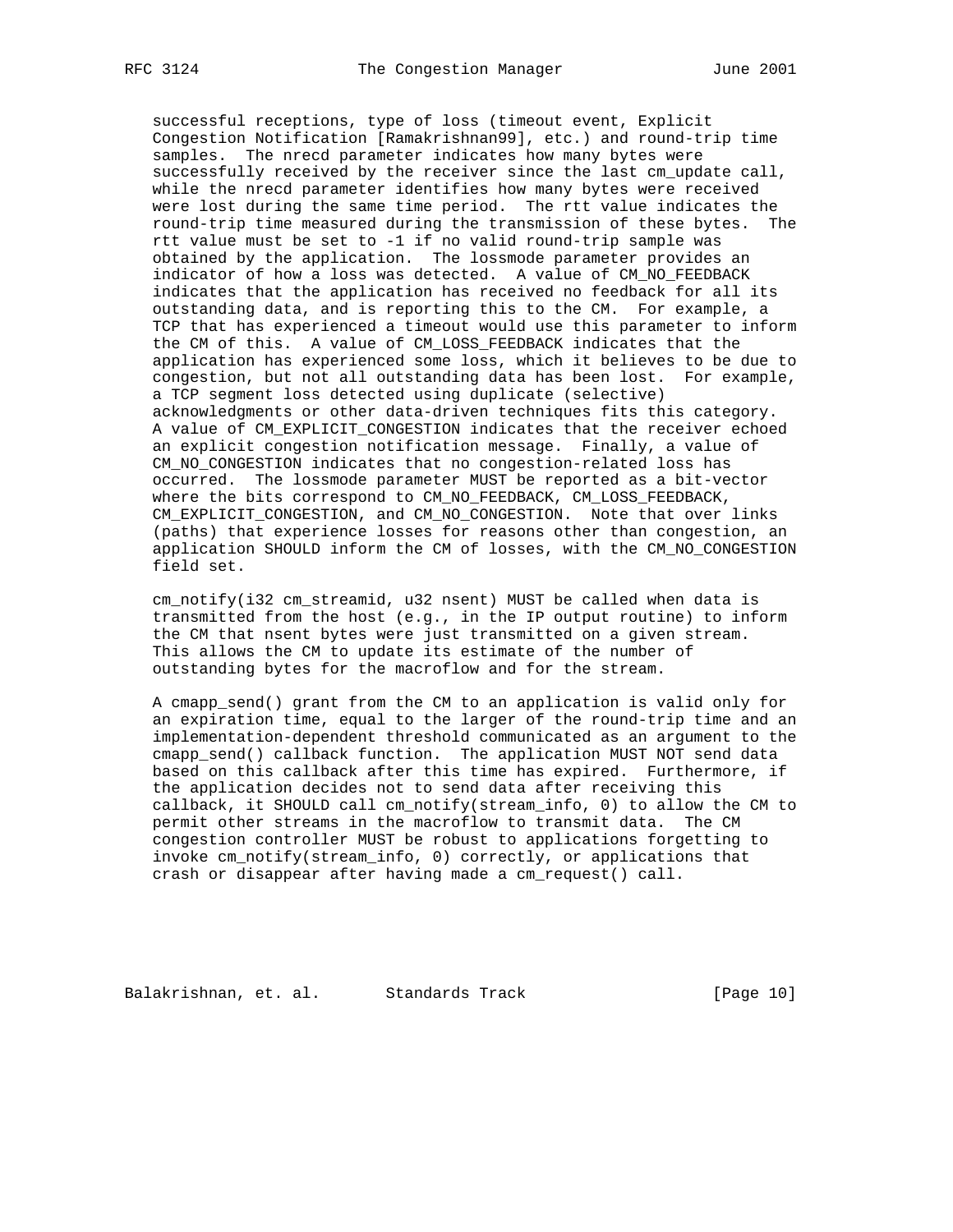successful receptions, type of loss (timeout event, Explicit Congestion Notification [Ramakrishnan99], etc.) and round-trip time samples. The nrecd parameter indicates how many bytes were successfully received by the receiver since the last cm\_update call, while the nrecd parameter identifies how many bytes were received were lost during the same time period. The rtt value indicates the round-trip time measured during the transmission of these bytes. The rtt value must be set to -1 if no valid round-trip sample was obtained by the application. The lossmode parameter provides an indicator of how a loss was detected. A value of CM\_NO\_FEEDBACK indicates that the application has received no feedback for all its outstanding data, and is reporting this to the CM. For example, a TCP that has experienced a timeout would use this parameter to inform the CM of this. A value of CM\_LOSS\_FEEDBACK indicates that the application has experienced some loss, which it believes to be due to congestion, but not all outstanding data has been lost. For example, a TCP segment loss detected using duplicate (selective) acknowledgments or other data-driven techniques fits this category. A value of CM\_EXPLICIT\_CONGESTION indicates that the receiver echoed an explicit congestion notification message. Finally, a value of CM\_NO\_CONGESTION indicates that no congestion-related loss has occurred. The lossmode parameter MUST be reported as a bit-vector where the bits correspond to CM\_NO\_FEEDBACK, CM\_LOSS\_FEEDBACK, CM\_EXPLICIT\_CONGESTION, and CM\_NO\_CONGESTION. Note that over links (paths) that experience losses for reasons other than congestion, an application SHOULD inform the CM of losses, with the CM\_NO\_CONGESTION field set.

 cm\_notify(i32 cm\_streamid, u32 nsent) MUST be called when data is transmitted from the host (e.g., in the IP output routine) to inform the CM that nsent bytes were just transmitted on a given stream. This allows the CM to update its estimate of the number of outstanding bytes for the macroflow and for the stream.

 A cmapp\_send() grant from the CM to an application is valid only for an expiration time, equal to the larger of the round-trip time and an implementation-dependent threshold communicated as an argument to the cmapp\_send() callback function. The application MUST NOT send data based on this callback after this time has expired. Furthermore, if the application decides not to send data after receiving this callback, it SHOULD call cm\_notify(stream\_info, 0) to allow the CM to permit other streams in the macroflow to transmit data. The CM congestion controller MUST be robust to applications forgetting to invoke cm\_notify(stream\_info, 0) correctly, or applications that crash or disappear after having made a cm\_request() call.

Balakrishnan, et. al. Standards Track [Page 10]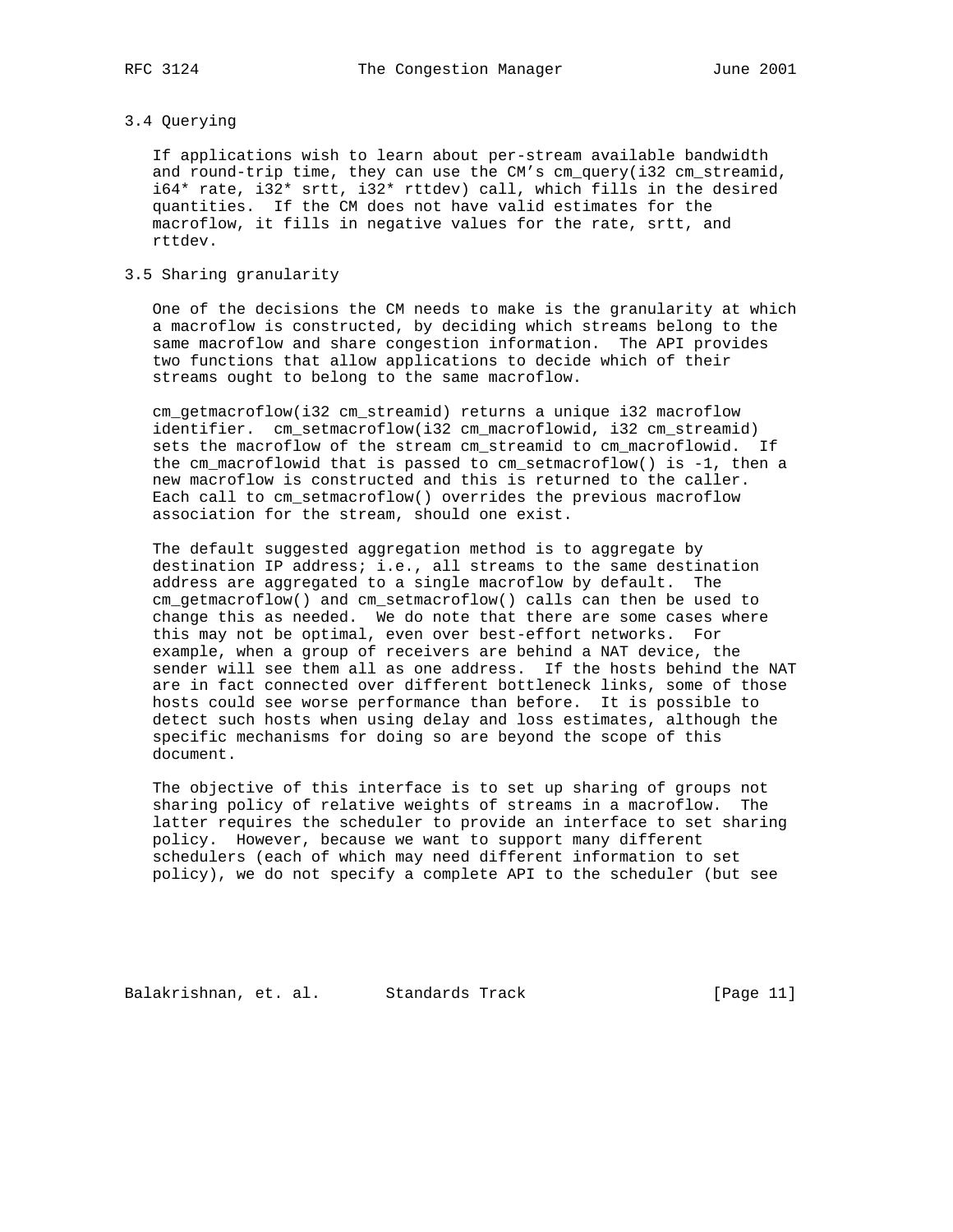## 3.4 Querying

 If applications wish to learn about per-stream available bandwidth and round-trip time, they can use the CM's cm\_query(i32 cm\_streamid, i64\* rate, i32\* srtt, i32\* rttdev) call, which fills in the desired quantities. If the CM does not have valid estimates for the macroflow, it fills in negative values for the rate, srtt, and rttdev.

## 3.5 Sharing granularity

 One of the decisions the CM needs to make is the granularity at which a macroflow is constructed, by deciding which streams belong to the same macroflow and share congestion information. The API provides two functions that allow applications to decide which of their streams ought to belong to the same macroflow.

 cm\_getmacroflow(i32 cm\_streamid) returns a unique i32 macroflow identifier. cm\_setmacroflow(i32 cm\_macroflowid, i32 cm\_streamid) sets the macroflow of the stream cm\_streamid to cm\_macroflowid. If the cm\_macroflowid that is passed to cm\_setmacroflow() is -1, then a new macroflow is constructed and this is returned to the caller. Each call to cm\_setmacroflow() overrides the previous macroflow association for the stream, should one exist.

 The default suggested aggregation method is to aggregate by destination IP address; i.e., all streams to the same destination address are aggregated to a single macroflow by default. The cm\_getmacroflow() and cm\_setmacroflow() calls can then be used to change this as needed. We do note that there are some cases where this may not be optimal, even over best-effort networks. For example, when a group of receivers are behind a NAT device, the sender will see them all as one address. If the hosts behind the NAT are in fact connected over different bottleneck links, some of those hosts could see worse performance than before. It is possible to detect such hosts when using delay and loss estimates, although the specific mechanisms for doing so are beyond the scope of this document.

 The objective of this interface is to set up sharing of groups not sharing policy of relative weights of streams in a macroflow. The latter requires the scheduler to provide an interface to set sharing policy. However, because we want to support many different schedulers (each of which may need different information to set policy), we do not specify a complete API to the scheduler (but see

Balakrishnan, et. al. Standards Track [Page 11]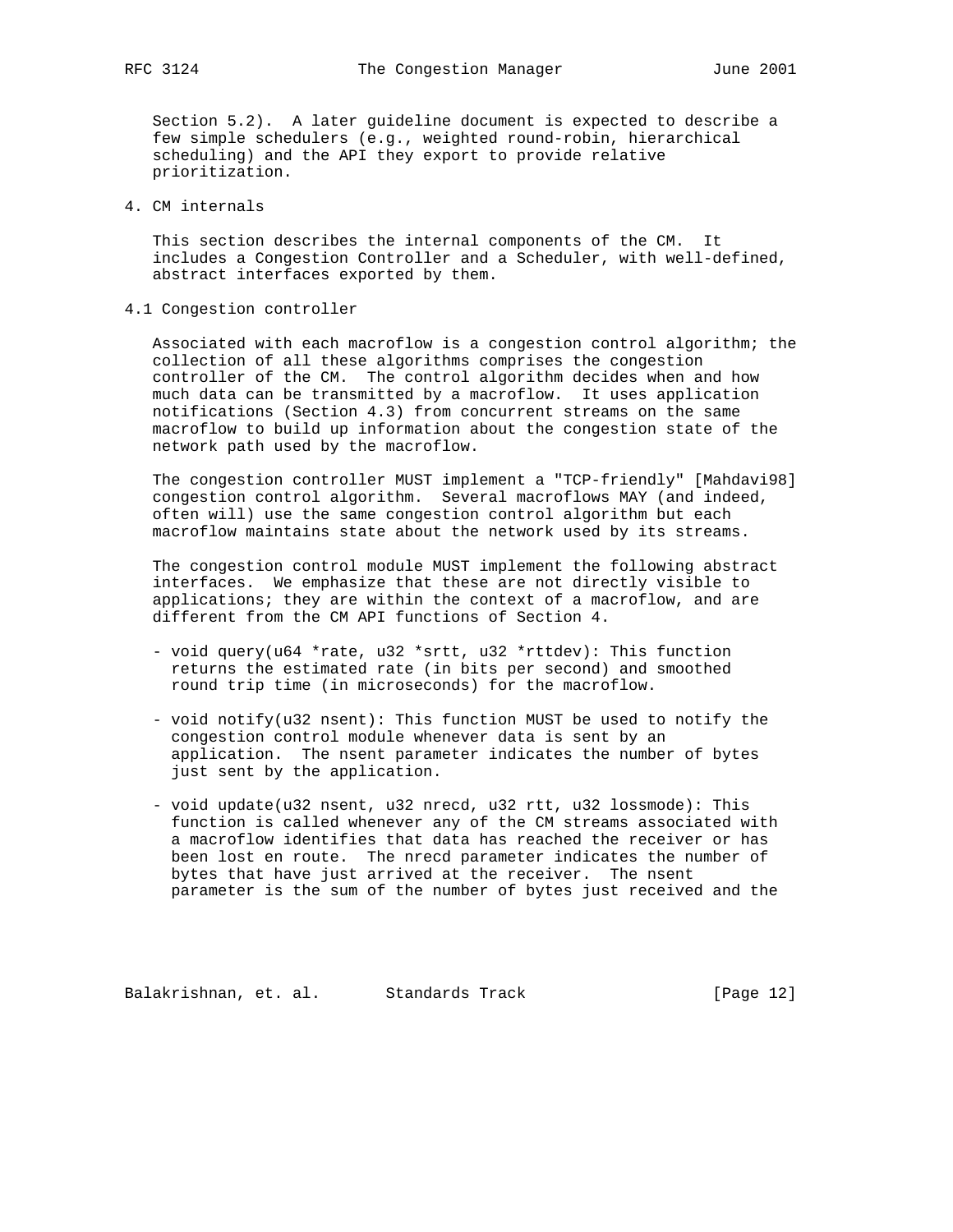Section 5.2). A later guideline document is expected to describe a few simple schedulers (e.g., weighted round-robin, hierarchical scheduling) and the API they export to provide relative prioritization.

4. CM internals

 This section describes the internal components of the CM. It includes a Congestion Controller and a Scheduler, with well-defined, abstract interfaces exported by them.

4.1 Congestion controller

 Associated with each macroflow is a congestion control algorithm; the collection of all these algorithms comprises the congestion controller of the CM. The control algorithm decides when and how much data can be transmitted by a macroflow. It uses application notifications (Section 4.3) from concurrent streams on the same macroflow to build up information about the congestion state of the network path used by the macroflow.

 The congestion controller MUST implement a "TCP-friendly" [Mahdavi98] congestion control algorithm. Several macroflows MAY (and indeed, often will) use the same congestion control algorithm but each macroflow maintains state about the network used by its streams.

 The congestion control module MUST implement the following abstract interfaces. We emphasize that these are not directly visible to applications; they are within the context of a macroflow, and are different from the CM API functions of Section 4.

- void query(u64 \*rate, u32 \*srtt, u32 \*rttdev): This function returns the estimated rate (in bits per second) and smoothed round trip time (in microseconds) for the macroflow.
- void notify(u32 nsent): This function MUST be used to notify the congestion control module whenever data is sent by an application. The nsent parameter indicates the number of bytes just sent by the application.
- void update(u32 nsent, u32 nrecd, u32 rtt, u32 lossmode): This function is called whenever any of the CM streams associated with a macroflow identifies that data has reached the receiver or has been lost en route. The nrecd parameter indicates the number of bytes that have just arrived at the receiver. The nsent parameter is the sum of the number of bytes just received and the

Balakrishnan, et. al. Standards Track [Page 12]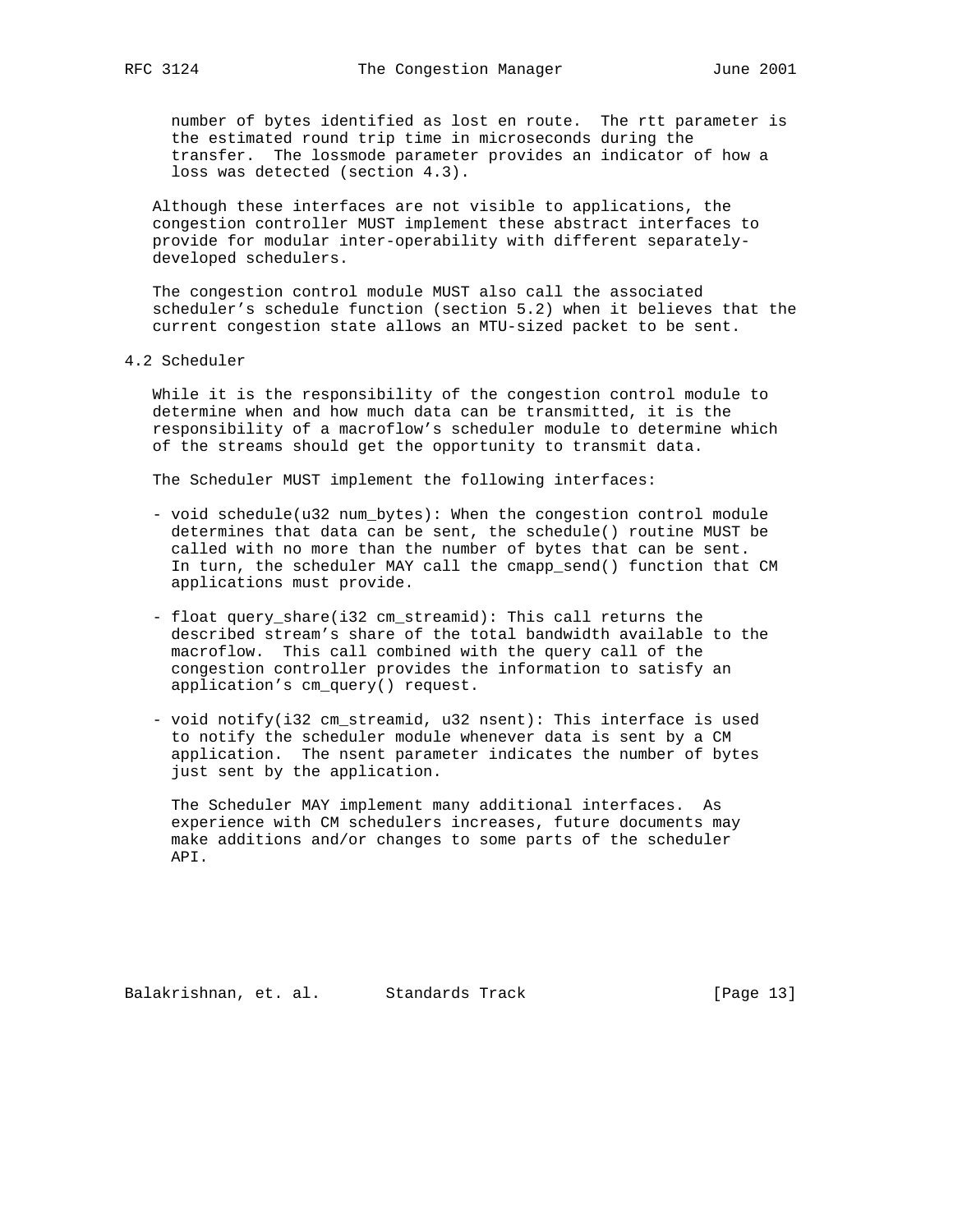number of bytes identified as lost en route. The rtt parameter is the estimated round trip time in microseconds during the transfer. The lossmode parameter provides an indicator of how a loss was detected (section 4.3).

 Although these interfaces are not visible to applications, the congestion controller MUST implement these abstract interfaces to provide for modular inter-operability with different separately developed schedulers.

 The congestion control module MUST also call the associated scheduler's schedule function (section 5.2) when it believes that the current congestion state allows an MTU-sized packet to be sent.

## 4.2 Scheduler

 While it is the responsibility of the congestion control module to determine when and how much data can be transmitted, it is the responsibility of a macroflow's scheduler module to determine which of the streams should get the opportunity to transmit data.

The Scheduler MUST implement the following interfaces:

- void schedule(u32 num\_bytes): When the congestion control module determines that data can be sent, the schedule() routine MUST be called with no more than the number of bytes that can be sent. In turn, the scheduler MAY call the cmapp\_send() function that CM applications must provide.
- float query\_share(i32 cm\_streamid): This call returns the described stream's share of the total bandwidth available to the macroflow. This call combined with the query call of the congestion controller provides the information to satisfy an application's cm\_query() request.
- void notify(i32 cm\_streamid, u32 nsent): This interface is used to notify the scheduler module whenever data is sent by a CM application. The nsent parameter indicates the number of bytes just sent by the application.

 The Scheduler MAY implement many additional interfaces. As experience with CM schedulers increases, future documents may make additions and/or changes to some parts of the scheduler API.

Balakrishnan, et. al. Standards Track [Page 13]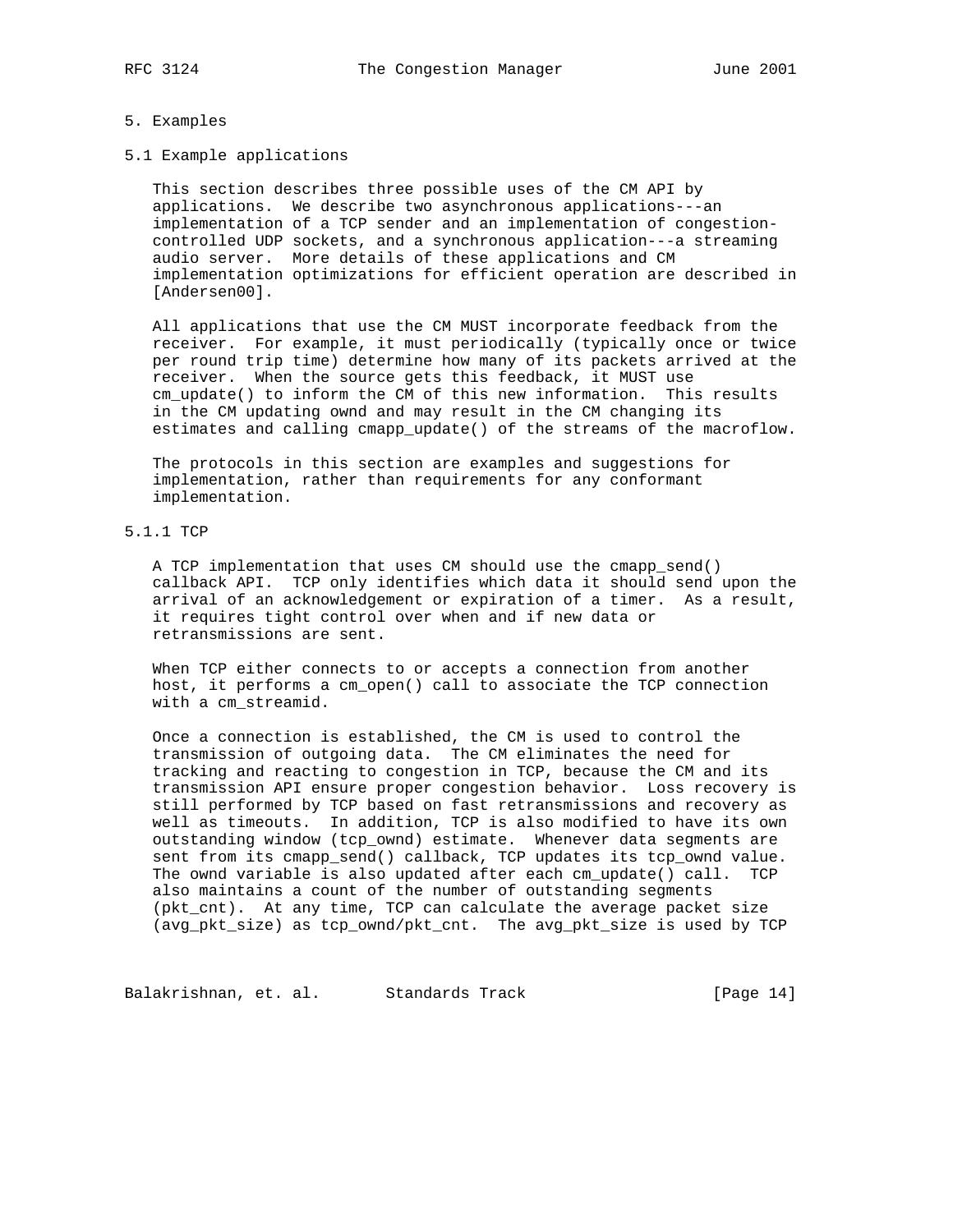#### 5. Examples

5.1 Example applications

 This section describes three possible uses of the CM API by applications. We describe two asynchronous applications---an implementation of a TCP sender and an implementation of congestion controlled UDP sockets, and a synchronous application---a streaming audio server. More details of these applications and CM implementation optimizations for efficient operation are described in [Andersen00].

 All applications that use the CM MUST incorporate feedback from the receiver. For example, it must periodically (typically once or twice per round trip time) determine how many of its packets arrived at the receiver. When the source gets this feedback, it MUST use cm\_update() to inform the CM of this new information. This results in the CM updating ownd and may result in the CM changing its estimates and calling cmapp\_update() of the streams of the macroflow.

 The protocols in this section are examples and suggestions for implementation, rather than requirements for any conformant implementation.

# 5.1.1 TCP

 A TCP implementation that uses CM should use the cmapp\_send() callback API. TCP only identifies which data it should send upon the arrival of an acknowledgement or expiration of a timer. As a result, it requires tight control over when and if new data or retransmissions are sent.

 When TCP either connects to or accepts a connection from another host, it performs a cm\_open() call to associate the TCP connection with a cm\_streamid.

 Once a connection is established, the CM is used to control the transmission of outgoing data. The CM eliminates the need for tracking and reacting to congestion in TCP, because the CM and its transmission API ensure proper congestion behavior. Loss recovery is still performed by TCP based on fast retransmissions and recovery as well as timeouts. In addition, TCP is also modified to have its own outstanding window (tcp\_ownd) estimate. Whenever data segments are sent from its cmapp\_send() callback, TCP updates its tcp\_ownd value. The ownd variable is also updated after each cm\_update() call. TCP also maintains a count of the number of outstanding segments (pkt\_cnt). At any time, TCP can calculate the average packet size (avg\_pkt\_size) as tcp\_ownd/pkt\_cnt. The avg\_pkt\_size is used by TCP

Balakrishnan, et. al. Standards Track [Page 14]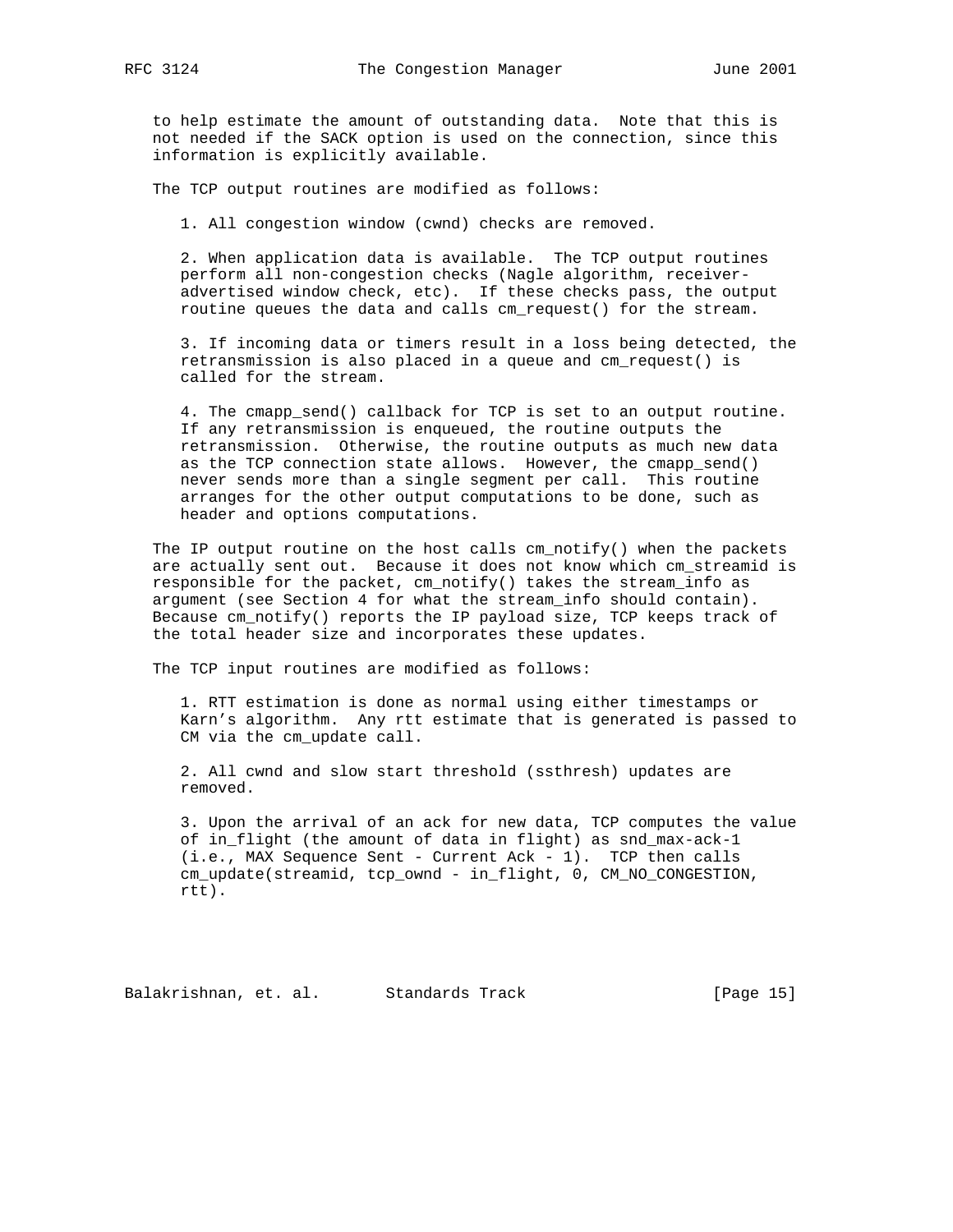to help estimate the amount of outstanding data. Note that this is not needed if the SACK option is used on the connection, since this information is explicitly available.

The TCP output routines are modified as follows:

1. All congestion window (cwnd) checks are removed.

 2. When application data is available. The TCP output routines perform all non-congestion checks (Nagle algorithm, receiver advertised window check, etc). If these checks pass, the output routine queues the data and calls cm\_request() for the stream.

 3. If incoming data or timers result in a loss being detected, the retransmission is also placed in a queue and cm\_request() is called for the stream.

 4. The cmapp\_send() callback for TCP is set to an output routine. If any retransmission is enqueued, the routine outputs the retransmission. Otherwise, the routine outputs as much new data as the TCP connection state allows. However, the cmapp\_send() never sends more than a single segment per call. This routine arranges for the other output computations to be done, such as header and options computations.

The IP output routine on the host calls  $cm\_notify()$  when the packets are actually sent out. Because it does not know which cm\_streamid is responsible for the packet, cm\_notify() takes the stream\_info as argument (see Section 4 for what the stream\_info should contain). Because cm\_notify() reports the IP payload size, TCP keeps track of the total header size and incorporates these updates.

The TCP input routines are modified as follows:

 1. RTT estimation is done as normal using either timestamps or Karn's algorithm. Any rtt estimate that is generated is passed to CM via the cm\_update call.

 2. All cwnd and slow start threshold (ssthresh) updates are removed.

 3. Upon the arrival of an ack for new data, TCP computes the value of in\_flight (the amount of data in flight) as snd\_max-ack-1 (i.e., MAX Sequence Sent - Current Ack - 1). TCP then calls cm\_update(streamid, tcp\_ownd - in\_flight, 0, CM\_NO\_CONGESTION, rtt).

Balakrishnan, et. al. Standards Track [Page 15]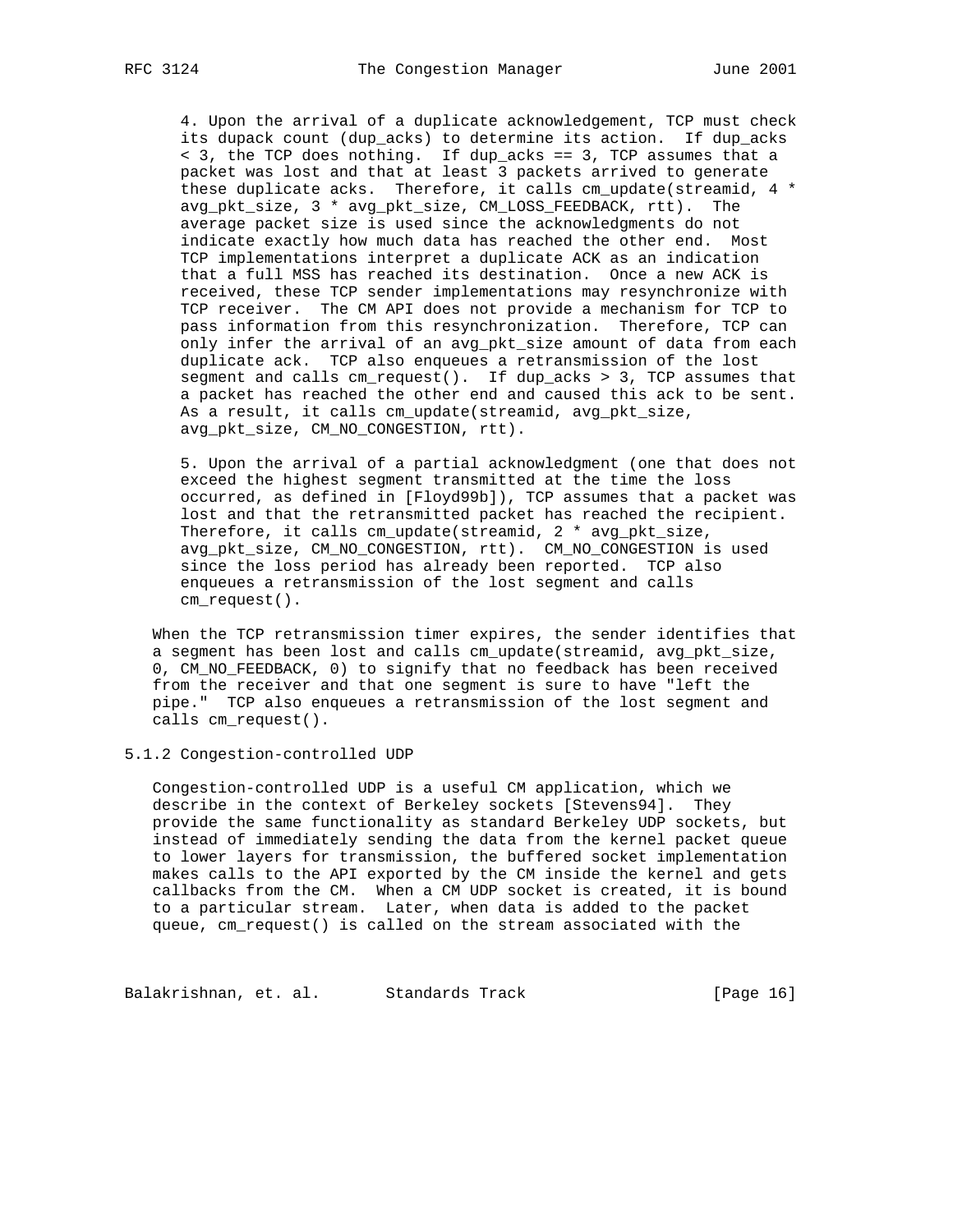4. Upon the arrival of a duplicate acknowledgement, TCP must check its dupack count (dup\_acks) to determine its action. If dup\_acks < 3, the TCP does nothing. If dup\_acks == 3, TCP assumes that a packet was lost and that at least 3 packets arrived to generate these duplicate acks. Therefore, it calls cm\_update(streamid, 4 \* avg\_pkt\_size, 3 \* avg\_pkt\_size, CM\_LOSS\_FEEDBACK, rtt). The average packet size is used since the acknowledgments do not indicate exactly how much data has reached the other end. Most TCP implementations interpret a duplicate ACK as an indication that a full MSS has reached its destination. Once a new ACK is received, these TCP sender implementations may resynchronize with TCP receiver. The CM API does not provide a mechanism for TCP to pass information from this resynchronization. Therefore, TCP can only infer the arrival of an avg\_pkt\_size amount of data from each duplicate ack. TCP also enqueues a retransmission of the lost segment and calls cm\_request(). If dup\_acks > 3, TCP assumes that a packet has reached the other end and caused this ack to be sent. As a result, it calls cm\_update(streamid, avg\_pkt\_size, avg\_pkt\_size, CM\_NO\_CONGESTION, rtt).

 5. Upon the arrival of a partial acknowledgment (one that does not exceed the highest segment transmitted at the time the loss occurred, as defined in [Floyd99b]), TCP assumes that a packet was lost and that the retransmitted packet has reached the recipient. Therefore, it calls cm\_update(streamid, 2 \* avg\_pkt\_size, avg\_pkt\_size, CM\_NO\_CONGESTION, rtt). CM\_NO\_CONGESTION is used since the loss period has already been reported. TCP also enqueues a retransmission of the lost segment and calls cm\_request().

 When the TCP retransmission timer expires, the sender identifies that a segment has been lost and calls cm\_update(streamid, avg\_pkt\_size, 0, CM\_NO\_FEEDBACK, 0) to signify that no feedback has been received from the receiver and that one segment is sure to have "left the pipe." TCP also enqueues a retransmission of the lost segment and calls cm\_request().

# 5.1.2 Congestion-controlled UDP

 Congestion-controlled UDP is a useful CM application, which we describe in the context of Berkeley sockets [Stevens94]. They provide the same functionality as standard Berkeley UDP sockets, but instead of immediately sending the data from the kernel packet queue to lower layers for transmission, the buffered socket implementation makes calls to the API exported by the CM inside the kernel and gets callbacks from the CM. When a CM UDP socket is created, it is bound to a particular stream. Later, when data is added to the packet queue, cm\_request() is called on the stream associated with the

Balakrishnan, et. al. Standards Track [Page 16]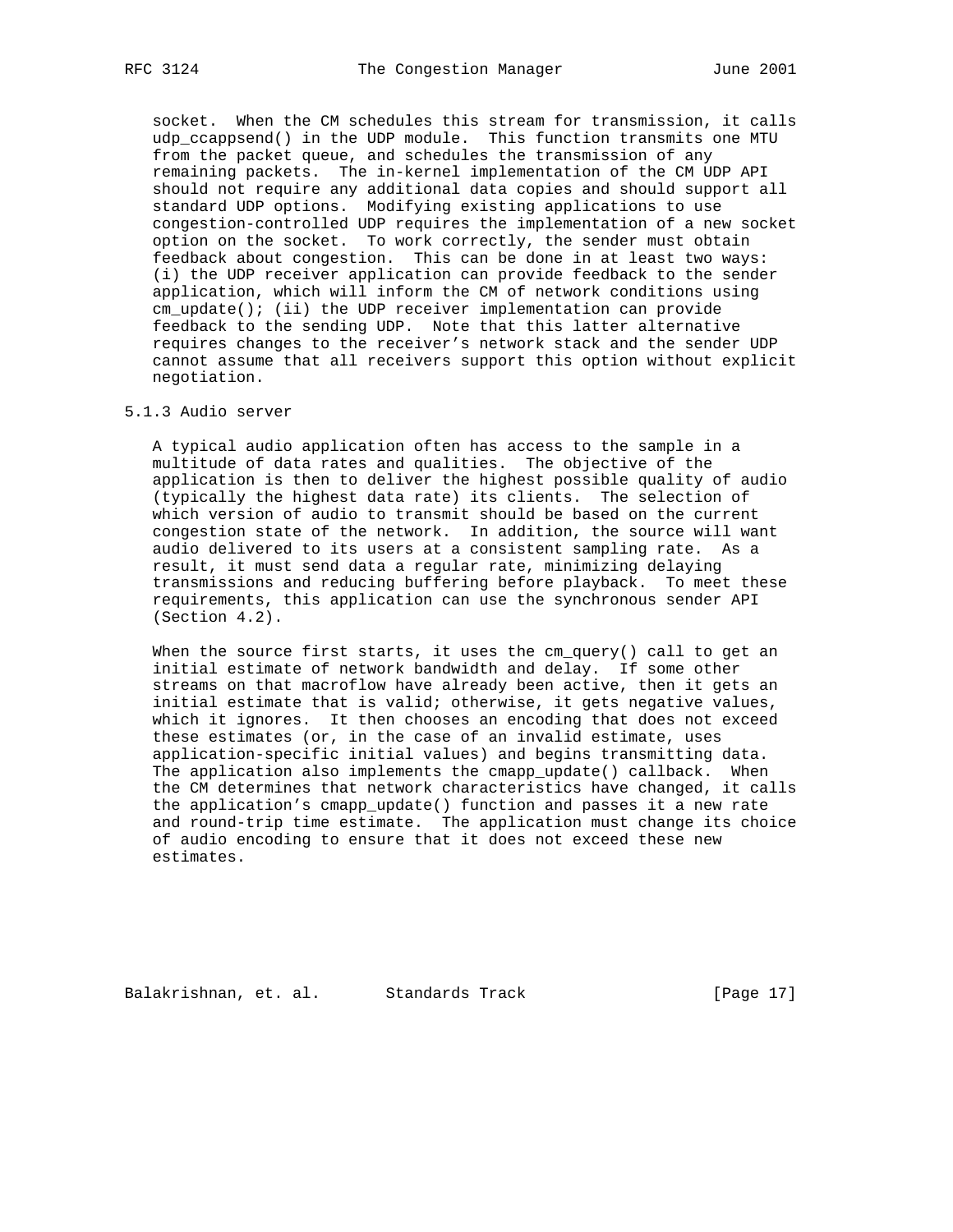socket. When the CM schedules this stream for transmission, it calls udp\_ccappsend() in the UDP module. This function transmits one MTU from the packet queue, and schedules the transmission of any remaining packets. The in-kernel implementation of the CM UDP API should not require any additional data copies and should support all standard UDP options. Modifying existing applications to use congestion-controlled UDP requires the implementation of a new socket option on the socket. To work correctly, the sender must obtain feedback about congestion. This can be done in at least two ways: (i) the UDP receiver application can provide feedback to the sender application, which will inform the CM of network conditions using cm\_update(); (ii) the UDP receiver implementation can provide feedback to the sending UDP. Note that this latter alternative requires changes to the receiver's network stack and the sender UDP cannot assume that all receivers support this option without explicit negotiation.

## 5.1.3 Audio server

 A typical audio application often has access to the sample in a multitude of data rates and qualities. The objective of the application is then to deliver the highest possible quality of audio (typically the highest data rate) its clients. The selection of which version of audio to transmit should be based on the current congestion state of the network. In addition, the source will want audio delivered to its users at a consistent sampling rate. As a result, it must send data a regular rate, minimizing delaying transmissions and reducing buffering before playback. To meet these requirements, this application can use the synchronous sender API (Section 4.2).

When the source first starts, it uses the  $cm\_query()$  call to get an initial estimate of network bandwidth and delay. If some other streams on that macroflow have already been active, then it gets an initial estimate that is valid; otherwise, it gets negative values, which it ignores. It then chooses an encoding that does not exceed these estimates (or, in the case of an invalid estimate, uses application-specific initial values) and begins transmitting data. The application also implements the cmapp\_update() callback. When the CM determines that network characteristics have changed, it calls the application's cmapp\_update() function and passes it a new rate and round-trip time estimate. The application must change its choice of audio encoding to ensure that it does not exceed these new estimates.

Balakrishnan, et. al. Standards Track [Page 17]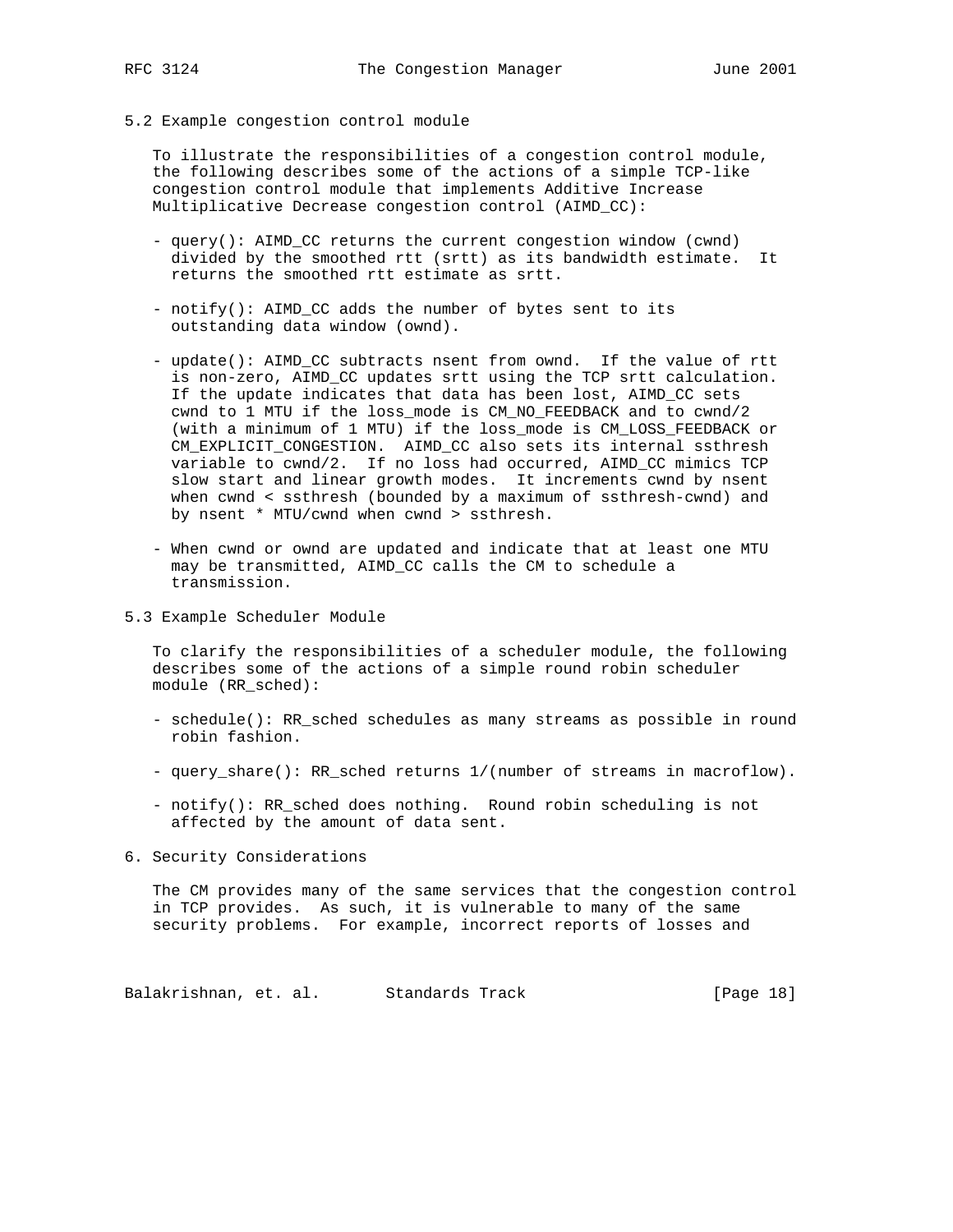5.2 Example congestion control module

 To illustrate the responsibilities of a congestion control module, the following describes some of the actions of a simple TCP-like congestion control module that implements Additive Increase Multiplicative Decrease congestion control (AIMD\_CC):

- query(): AIMD\_CC returns the current congestion window (cwnd) divided by the smoothed rtt (srtt) as its bandwidth estimate. It returns the smoothed rtt estimate as srtt.
- notify(): AIMD\_CC adds the number of bytes sent to its outstanding data window (ownd).
- update(): AIMD\_CC subtracts nsent from ownd. If the value of rtt is non-zero, AIMD\_CC updates srtt using the TCP srtt calculation. If the update indicates that data has been lost, AIMD\_CC sets cwnd to 1 MTU if the loss\_mode is CM\_NO\_FEEDBACK and to cwnd/2 (with a minimum of 1 MTU) if the loss\_mode is CM\_LOSS\_FEEDBACK or CM\_EXPLICIT\_CONGESTION. AIMD\_CC also sets its internal ssthresh variable to cwnd/2. If no loss had occurred, AIMD\_CC mimics TCP slow start and linear growth modes. It increments cwnd by nsent when cwnd < ssthresh (bounded by a maximum of ssthresh-cwnd) and by nsent \* MTU/cwnd when cwnd > ssthresh.
- When cwnd or ownd are updated and indicate that at least one MTU may be transmitted, AIMD\_CC calls the CM to schedule a transmission.
- 5.3 Example Scheduler Module

 To clarify the responsibilities of a scheduler module, the following describes some of the actions of a simple round robin scheduler module (RR\_sched):

- schedule(): RR\_sched schedules as many streams as possible in round robin fashion.
- query\_share(): RR\_sched returns 1/(number of streams in macroflow).
- notify(): RR\_sched does nothing. Round robin scheduling is not affected by the amount of data sent.
- 6. Security Considerations

 The CM provides many of the same services that the congestion control in TCP provides. As such, it is vulnerable to many of the same security problems. For example, incorrect reports of losses and

Balakrishnan, et. al. Standards Track (Page 18)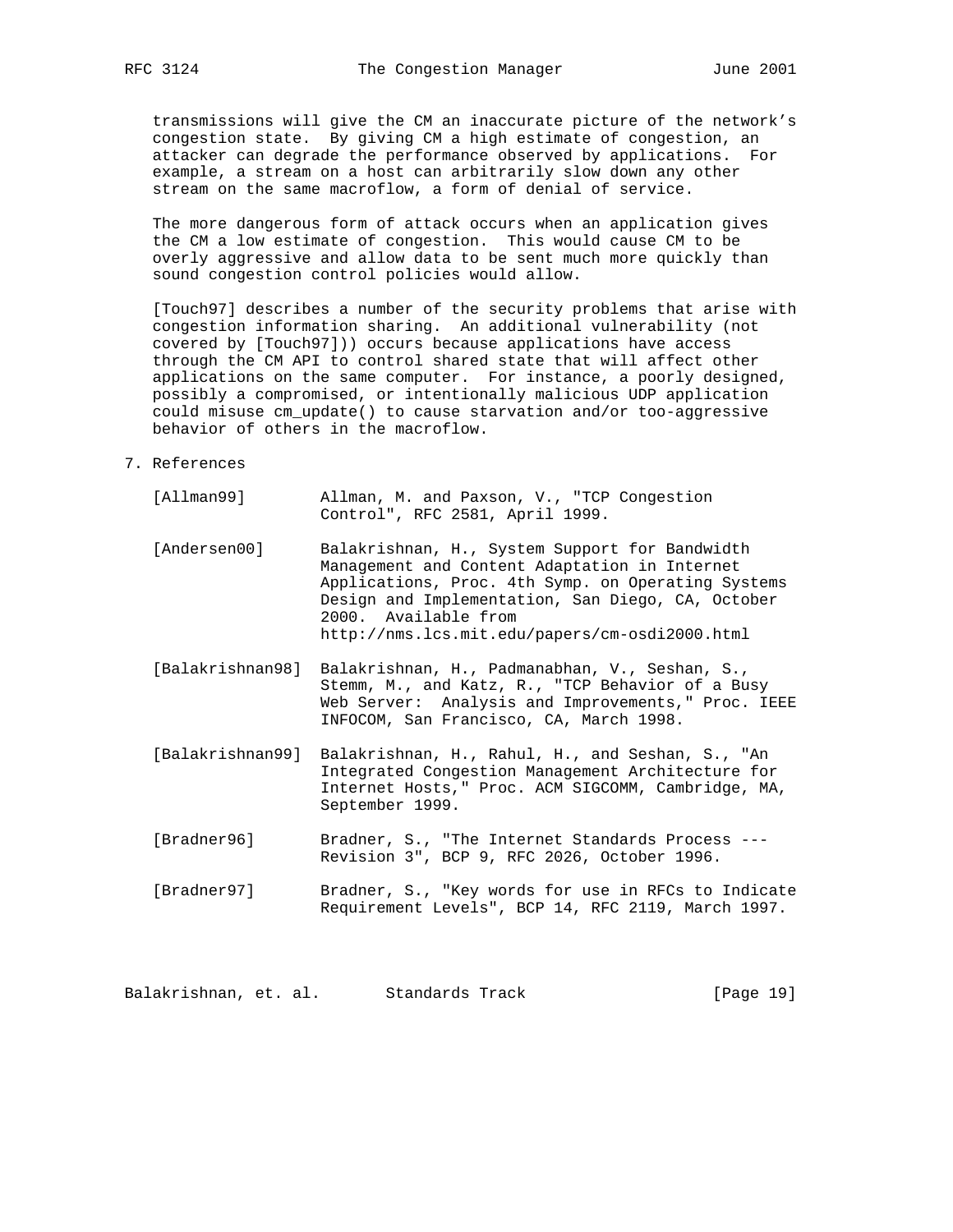transmissions will give the CM an inaccurate picture of the network's congestion state. By giving CM a high estimate of congestion, an attacker can degrade the performance observed by applications. For example, a stream on a host can arbitrarily slow down any other stream on the same macroflow, a form of denial of service.

 The more dangerous form of attack occurs when an application gives the CM a low estimate of congestion. This would cause CM to be overly aggressive and allow data to be sent much more quickly than sound congestion control policies would allow.

 [Touch97] describes a number of the security problems that arise with congestion information sharing. An additional vulnerability (not covered by [Touch97])) occurs because applications have access through the CM API to control shared state that will affect other applications on the same computer. For instance, a poorly designed, possibly a compromised, or intentionally malicious UDP application could misuse cm\_update() to cause starvation and/or too-aggressive behavior of others in the macroflow.

## 7. References

| [Allman99]       | Allman, M. and Paxson, V., "TCP Congestion<br>Control", RFC 2581, April 1999.                                                                                                                                                                                                        |
|------------------|--------------------------------------------------------------------------------------------------------------------------------------------------------------------------------------------------------------------------------------------------------------------------------------|
| [Andersen00]     | Balakrishnan, H., System Support for Bandwidth<br>Management and Content Adaptation in Internet<br>Applications, Proc. 4th Symp. on Operating Systems<br>Design and Implementation, San Diego, CA, October<br>2000. Available from<br>http://nms.lcs.mit.edu/papers/cm-osdi2000.html |
| [Balakrishnan98] | Balakrishnan, H., Padmanabhan, V., Seshan, S.,<br>Stemm, M., and Katz, R., "TCP Behavior of a Busy<br>Web Server: Analysis and Improvements, " Proc. IEEE<br>INFOCOM, San Francisco, CA, March 1998.                                                                                 |
| [Balakrishnan99] | Balakrishnan, H., Rahul, H., and Seshan, S., "An<br>Integrated Congestion Management Architecture for<br>Internet Hosts, " Proc. ACM SIGCOMM, Cambridge, MA,<br>September 1999.                                                                                                      |
| [Bradner96]      | Bradner, S., "The Internet Standards Process ---<br>Revision 3", BCP 9, RFC 2026, October 1996.                                                                                                                                                                                      |
| [Bradner97]      | Bradner, S., "Key words for use in RFCs to Indicate<br>Requirement Levels", BCP 14, RFC 2119, March 1997.                                                                                                                                                                            |

Balakrishnan, et. al. Standards Track [Page 19]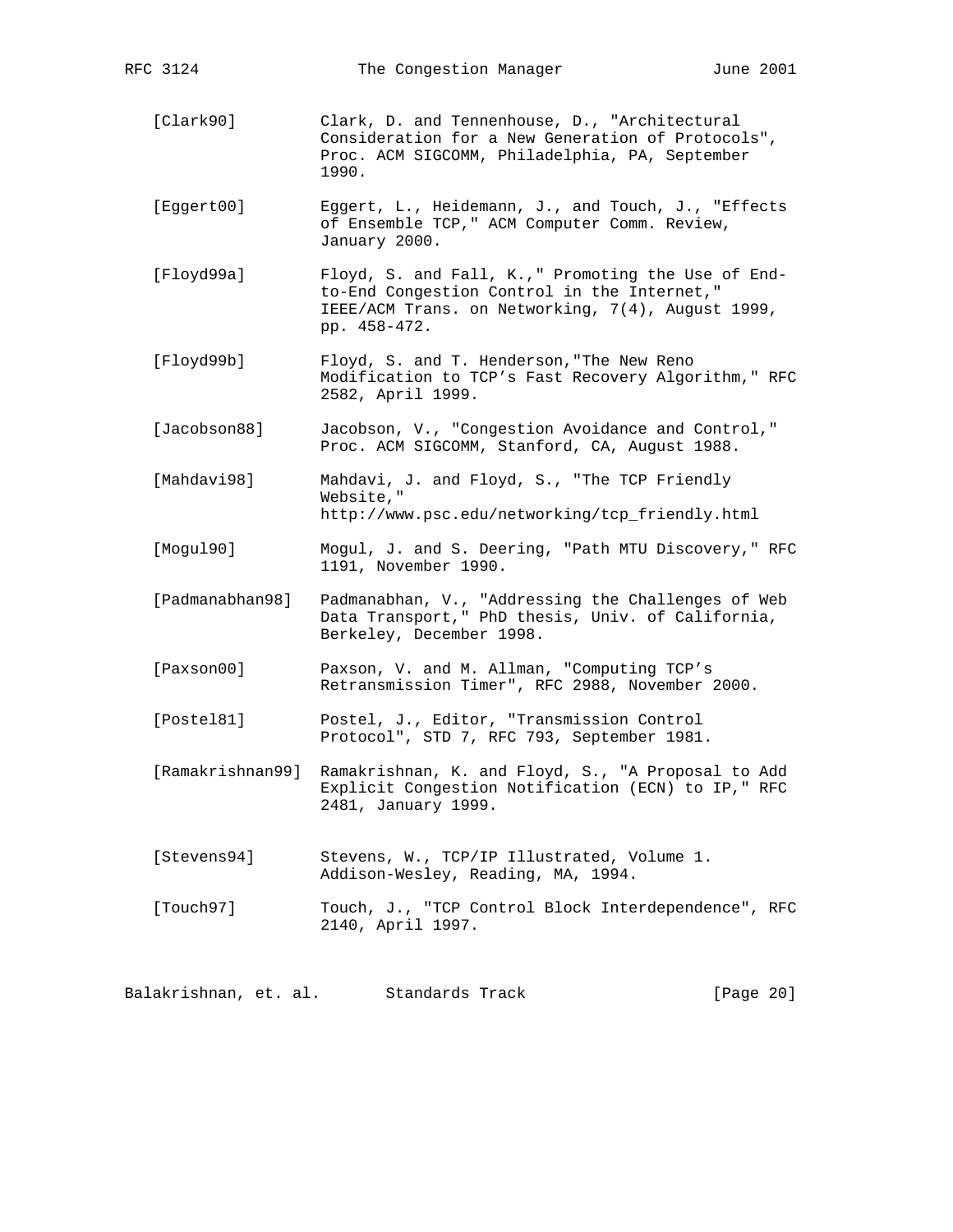| RFC 3124         | The Congestion Manager                                                                                                                                                 | June 2001 |  |
|------------------|------------------------------------------------------------------------------------------------------------------------------------------------------------------------|-----------|--|
| [Clark90]        | Clark, D. and Tennenhouse, D., "Architectural<br>Consideration for a New Generation of Protocols",<br>Proc. ACM SIGCOMM, Philadelphia, PA, September<br>1990.          |           |  |
| [Eggert00]       | Eggert, L., Heidemann, J., and Touch, J., "Effects<br>of Ensemble TCP, " ACM Computer Comm. Review,<br>January 2000.                                                   |           |  |
| [Floyd99a]       | Floyd, S. and Fall, K.," Promoting the Use of End-<br>to-End Congestion Control in the Internet,"<br>IEEE/ACM Trans. on Networking, 7(4), August 1999,<br>pp. 458-472. |           |  |
| [Floyd99b]       | Floyd, S. and T. Henderson, "The New Reno<br>Modification to TCP's Fast Recovery Algorithm," RFC<br>2582, April 1999.                                                  |           |  |
| [Jacobson88]     | Jacobson, V., "Congestion Avoidance and Control,"<br>Proc. ACM SIGCOMM, Stanford, CA, August 1988.                                                                     |           |  |
| [Mahdavi98]      | Mahdavi, J. and Floyd, S., "The TCP Friendly<br>Website,"<br>http://www.psc.edu/networking/tcp_friendly.html                                                           |           |  |
| [Mogu190]        | Mogul, J. and S. Deering, "Path MTU Discovery," RFC<br>1191, November 1990.                                                                                            |           |  |
| [Padmanabhan98]  | Padmanabhan, V., "Addressing the Challenges of Web<br>Data Transport," PhD thesis, Univ. of California,<br>Berkeley, December 1998.                                    |           |  |
| [Paxson00]       | Paxson, V. and M. Allman, "Computing TCP's<br>Retransmission Timer", RFC 2988, November 2000.                                                                          |           |  |
| [Postel81]       | Postel, J., Editor, "Transmission Control<br>Protocol", STD 7, RFC 793, September 1981.                                                                                |           |  |
| [Ramakrishnan99] | Ramakrishnan, K. and Floyd, S., "A Proposal to Add<br>Explicit Congestion Notification (ECN) to IP, " RFC<br>2481, January 1999.                                       |           |  |
| [Stevens94]      | Stevens, W., TCP/IP Illustrated, Volume 1.<br>Addison-Wesley, Reading, MA, 1994.                                                                                       |           |  |
| [Touch97]        | Touch, J., "TCP Control Block Interdependence", RFC<br>2140, April 1997.                                                                                               |           |  |
|                  |                                                                                                                                                                        |           |  |

Balakrishnan, et. al. Standards Track and Standards (Page 20)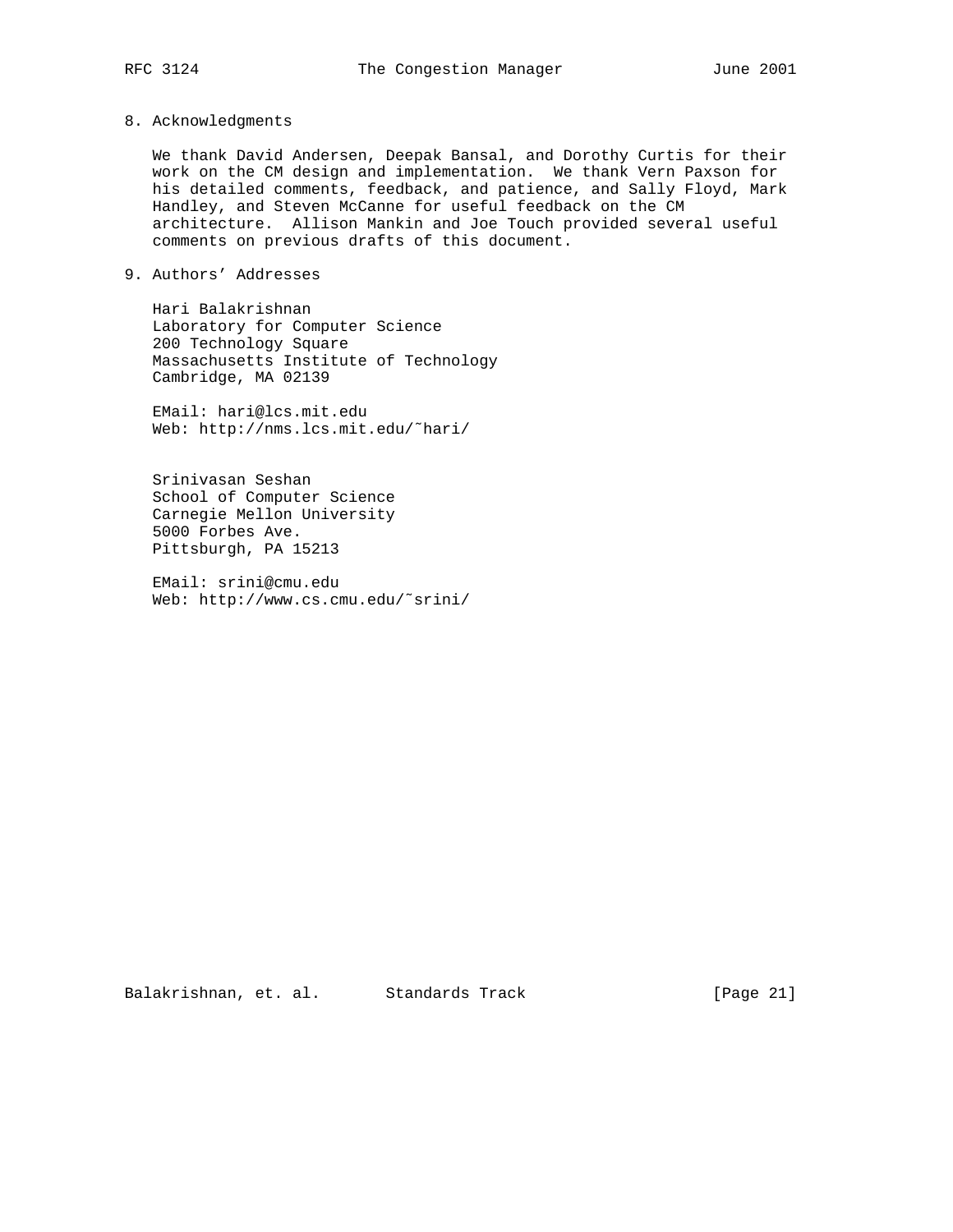8. Acknowledgments

 We thank David Andersen, Deepak Bansal, and Dorothy Curtis for their work on the CM design and implementation. We thank Vern Paxson for his detailed comments, feedback, and patience, and Sally Floyd, Mark Handley, and Steven McCanne for useful feedback on the CM architecture. Allison Mankin and Joe Touch provided several useful comments on previous drafts of this document.

9. Authors' Addresses

 Hari Balakrishnan Laboratory for Computer Science 200 Technology Square Massachusetts Institute of Technology Cambridge, MA 02139

 EMail: hari@lcs.mit.edu Web: http://nms.lcs.mit.edu/˜hari/

 Srinivasan Seshan School of Computer Science Carnegie Mellon University 5000 Forbes Ave. Pittsburgh, PA 15213

 EMail: srini@cmu.edu Web: http://www.cs.cmu.edu/˜srini/